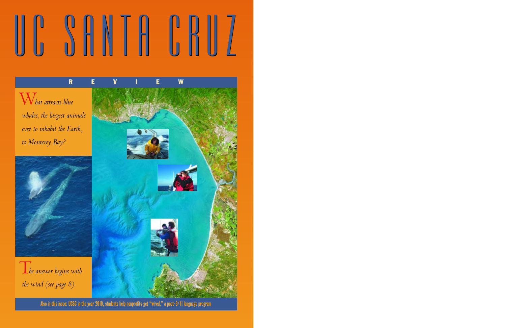# UC SHNIH H

W*hat attracts blue whales, the largest animals ever to inhabit the Earth, to Monterey Bay?* 



T*he answer begins with the wind (see page 8).*



Also in this issue: UCSC in the year 2010, students help nonprofits get "wired," a post-9/11 language program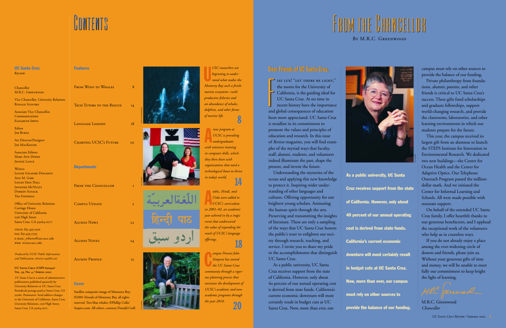#### Features

| or<br>GREENWOOD                                  |  |
|--------------------------------------------------|--|
| uncellor, University Relations<br><b>SUDUIKO</b> |  |
| Vice Chancellor,                                 |  |
| nications                                        |  |
| th Irwin                                         |  |
|                                                  |  |

| <b>Features</b>              |                 |
|------------------------------|-----------------|
| FROM WIND TO WHALES          | 8               |
| TECH TUTORS TO THE RESCUE 14 |                 |
| <b>LANGUAGE LESSONS</b>      | 18              |
| CHARTING UCSC'S FUTURE       | 20 <sub>o</sub> |
| <b>Departments</b>           |                 |
| FROM THE CHANCELLOR          | $\mathbf I$     |
| CAMPUS UPDATE                | $\overline{2}$  |
| <b>ALUMNI NEWS</b>           | 22              |
| <b>ALUMNI NOTES</b>          | 24              |
| <b>ALUMNI PROFILE</b>        | 25              |

## **CONTENTS**

#### UC Santa Cruz **REVIEW**

Chancel M.R.C Vice Ch RONALD Associat  $Comm$ ELIZABE

#### Cover

Editor **JIM BURNS** 

Art Director/Designer **JIM MACKENZIE** 

> Satellite composite image of Monterey Bay: ©2001 Friends of Monterey Bay, all rights reserved. Two blue whales: ©Phillip Colla/ Seapics.com. All others, courtesy Donald Croll.



Associate Editors Mary Ann Dewey JEANNE LANCE





**Writers** Louise Gilmore Donahue ANN M. GIBB Linley Erin Hall **JENNIFER MCNULTY** DOREEN SCHACK Tim Stephens

U*CSC researchers are beginning to under- stand what makes the Monterey Bay such a fertile marine ecosystem—with productive fisheries and an abundance of whales, dolphins, and other forms of marine life.* 8

Office of University Relations Carriage House University of California 1156 High Street Santa Cruz, CA 95064-1077

voice: 831.459.2501 fax: 831.459.5795 e-mail: *jrburns@cats.ucsc.edu* web: *review.ucsc.edu*

*Produced by UCSC Public Information and Publications. 6/02(02-046/66.2 M)*

#### **UC Santa Cruz (USPS 650940) Vol. 39, No. 4 / Spring 2002**

A *rabic, Hindi, and Urdu were added to UCSC's curriculum in 2001–02, an academic year ushered in by a tragic event that underscored the value of expanding the reach of UCSC's language offerings.*<br> **18** 

*UC Santa Cruz* is a series of administrative publications published quarterly by University Relations at UC Santa Cruz. Periodicals postage paid at Santa Cruz, CA 95060. Postmaster: Send address changes to the University of California, Santa Cruz, University Relations, 1156 High Street, Santa Cruz, CA 95064-1077.

### By M.R.C. Greenwood FROM THE ROM THE CHANCELLOR HANCELLOR

A*new program at UCSC is providing undergraduates with extensive training in computer skills, which they then share with organizations that need a technological boost to thrive in today's world.* 14

C*ampus Provost John Simpson has steered the UC Santa Cruz community through a rigorous planning process that envisions the development of UCSC's academic and nonacademic programs through the year 2010.*

#### 20

#### Dear Friends of UC Santa Cruz,



 $\Gamma$  iat lux! "Let there be light," the motto for the University of California, is the guiding ideal for UC Santa Cruz. At no time in recent history have the importance and global consequences of education been more appreciated. UC Santa Cruz is steadfast in its commitment to promote the values and principles of education and research. In this issue of *Review* magazine, you will find examples of the myriad ways that faculty, staff, alumni, students, and volunteers indeed illuminate the past, shape the present, and invent the future. F

Understanding the mysteries of the ocean and applying this new knowledge to protect it. Inspiring wider understanding of other languages and cultures. Offering opportunity for our brightest young scholars. Animating the human spirit through the arts. Preserving and transmitting the insights of literature. These are only a sampling of the ways that UC Santa Cruz honors the public's trust to enlighten our society through research, teaching, and service. I invite you to share my pride in the accomplishments that distinguish UC Santa Cruz.

As a public university, UC Santa Cruz receives support from the state of California. However, only about 4o percent of our annual operating cost is derived from state funds. California's current economic downturn will most certainly result in budget cuts at UC Santa Cruz. Now, more than ever, our

campus must rely on other sources to provide the balance of our funding.

Private philanthropy from foundations, alumni, parents, and other friends is critical to UC Santa Cruz's success. These gifts fund scholarships and graduate fellowships, support world-changing research, and provide the classrooms, laboratories, and other learning environments in which our students prepare for the future.

This year, the campus received its largest gift from an alumnus to launch the STEPS Institute for Innovation in Environmental Research. We dedicated two new buildings—the Center for Ocean Health and the Center for Adaptive Optics. Our Telephone Outreach Program passed the milliondollar mark. And we initiated the Center for Informal Learning and Schools. All were made possible with nonstate support.

On behalf of the extended UC Santa Cruz family, I offer heartfelt thanks to our generous benefactors, and I applaud the exceptional work of the volunteers who help us in countless ways.

If you do not already enjoy a place among the ever-widening circle of donors and friends, please join us. Without your generous gifts of time and money, we will be unable to meet fully our commitment to keep bright the light of learning.

M.R.C. Greenwood *Chancellor*

As a public university, UC Santa Cruz receives support from the state of California. However, only about 40 percent of our annual operating cost is derived from state funds. California's current economic downturn will most certainly result in budget cuts at UC Santa Cruz. Now, more than ever, our campus must rely on other sources to

provide the balance of our funding.

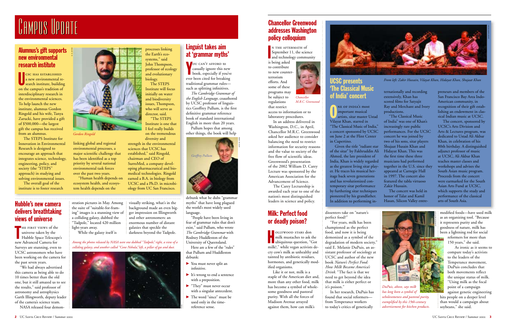#### Milk: Perfect food or deadly poison?

Hollywood stars don milk mustaches to ask the ubiquitous question, "Got milk?," while vegan activists decry cow's milk as unhealthy and tainted by antibiotic residues, hormones, and genetically modified organisms.

Like it or not, milk is a staple of the American diet and, more than any other food, milk has become a symbol of wholesome goodness and pastoral purity. With all the forces of Madison Avenue arrayed against them, how can milk's

dissenters take on "nature's perfect food?"

"For years, milk has been championed as the perfect food, and now it is being demonized as a symbol of the degradation of modern society," said E. Melanie DuPuis, an assistant professor of sociology at UCSC and author of the new book *Nature's Perfect Food: How Milk Became America's Drink.* "The fact is that we need to get beyond the idea that milk is either perfect or it's poison."

NE OF INDIA'S most<br>important musical<br>artists, sitar master Ustad Vilayat Khan, starred in "The Classical Music of India," a concert sponsored by UCSC on June 2 at the Flint Center in Cupertino.

In her research, DuPuis has found that social reformers from Temperance workers to today's critics of genetically

modified foods—have used milk as an organizing tool. "Because it represents purity and the goodness of nature, milk has been a lightning rod for social reformers for more than

150 years," she said.

As ironic as it seems to compare today's activists to the leaders of the Temperance movement, Du Puis concludes that both movements reflect the unique status of milk. "Using milk as the focal point of a campaign against genetic engineering

hits people on a deeper level than would a campaign about soybeans," she said.

#### UCSC presents 'The Classical Music of India' concert

N THE AFTERMATH of<br>September 11, the scie<br>and technology comm September 11, the science and technology community

> Given the title "radiant star of the sitar" by Fakhruddin Ali Ahmed, the late president of India, Khan is widely regarded as the greatest living sitar player. He traces his musical heritage back seven generations and has revolutionized contemporary sitar performance by furthering sitar techniques <sup>p</sup>ioneered by his grandfather. In addition to performing in-

ternationally and recording extensively, Khan has scored films for Satyajit Ray and Merchant and Ivory productions.

THE FIRST VIEWS of the<br>
universe taken by the<br>
Hubble Space Telescope's new Advanced Camera for Surveys are stunning, even to UCSC astronomers who have been working on the camera for the past seven years.

"The Classical Music of India" was one of Khan's increasingly rare public performances. For the UCSC concert he was joined by two of his sons, sitar players Shujaat Husain Khan and Hidayat Khan. This was the first time these three musicians had performed together in the U.S. since they appeared at Carnegie Hall in 1997. The concert also featured the tabla virtuoso Zakir Hussain.

stration pictures in May. Among the suite of "suitable-for-fram ing" images is a stunning view of a colliding galaxy, dubbed the "Tadpole," located 420 million light-years away. ion pictures in May. Among<br>
suidly striking, what's in the<br>
suite of "suitable-for-fram-<br>
liast in the background made an even big-<br>
images is a stunning view of<br>
lliding galaxy, dubbed the<br>
and other astronomers: an<br>
dpol

The concert was held in honor of Talat and Kamil Hasan, Silicon Valley entre-

preneurs and members of the San Francisco Bay Area Indo-American community, in recognition of their gift establishing an endowment in classical Indian music at UCSC.

The concert, sponsored by UCSC's Arts Division and Arts & Lectures program, was dedicated to Ustad Ali Akbar Khan, in celebration of his 80th birthday. A distinguished adjunct professor of music at UCSC, Ali Akbar Khan teaches master classes and workshops and advises the South Asian music program. Proceeds from the concert were earmarked for the South Asian Arts Fund at UCSC, which supports the study and performance of the classical arts of South Asia.

- lacktrian Mou must never split an infinitive.
- $\blacktriangleright$  It's wrong to end a sentence with a preposition.
- $\blacktriangleright$  "They" must never occur with a singular antecedent.
- ▶ The word "since" must be used only in the timereference sense.

*From left: Zakir Hussain, Vilayat Khan, Hidayat Khan, Shujaat Khan*



UCSC HAS ESTABLISHED<br>a new environmental re-<br>search institute, building on the campus's tradition of interdisciplinary research in the environmental sciences. To help launch the new institute, alumnus Gordon Ringold and his wife, Tanya Zarucki, have provided a gift of \$500,000—the largest <sup>g</sup>ift the campus has received from an alumnus.



regulations

that restrict access to information or to laboratory procedures.

In an address delivered in Washington, D.C., in April, Chancellor M.R.C. Greenwood asked her audience to consider balancing the need to restrict information for security reasons and the value to society of the free flow of scientific ideas. Greenwood's presentation of the 2002 William D. Carey Lecture was sponsored by the American Association for the Advancement of Science.

The Carey Lectureship is awarded each year to one of the nation's most distinguished leaders in science and policy.

*Chancellor M.R.C. Greenwood*



*DuPuis, above, says milk has long been a symbol of wholesomeness and pastoral purity, exemplified by this 19th-century advertisement for kitchen products.*

#### Hubble's new camera delivers breathtaking views of universe

"We had always advertised this camera as being able to do 10 times better than the old one, but it still amazed us to see the results," said professor of astronomy and astrophysics Garth Illingworth, deputy leader of the camera's science team.

NASA released four demon-

*Among the photos released by NASA were one dubbed "Tadpole," right, a view of a colliding galaxy; and another called "Cone Nebula," left, a pillar of gas and dust.* 

# CAMPUS UPDATE

#### Linguist takes aim at 'grammar myths'

You can't afford to casually ignore this new book, especially if you've ever been cited for breaking traditional grammar rules such as splitting infinitives.

*The Cambridge Grammar of the English Language,* coauthored by UCSC professor of linguistics Geoffrey Pullum, is the first definitive grammar reference book of standard international English in more than 20 years. Pullum hopes that among

other things, the book will help

"People have been living in fear of grammar rules that don't exist," said Pullum, who wrote *The Cambridge Grammar* with Rodney Huddleston of the University of Queensland.

Here are a few of the "rules" that Pullum and Huddleston debunk:

#### Alumnus's gift supports new environmental research institute

The STEPS Institute for Innovation in Environmental Research is designed to encourage an approach that integrates science, technology, engineering, policy, and society (the "STEPS" approach) in studying and solving environmental issues.



debunk what he dubs "grammar myths" that have long plagued the world's most widely used language.

The overall goal of the institute is to foster research linking global and regional environmental processes, a major scientific challenge that has been identified as a top priority by several national environmental task forces over the past two years.

"Human health depends on ecosystem health, and ecosystem health depends on the

processes linking the Earth's ecosystems," said John Thompson, professor of ecology and evolutionary biology.

The STEPS Institute will focus initially on water and biodiversity issues, Thompson, who will serve as director, said.

"The STEPS Institute is one that I feel really builds on the tremendous

diversity and strength in the environmental sciences that UCSC has established," said Ringold, chairman and CEO of SurroMed, a company developing pharmaceutical and biomedical technologies. Ringold earned a B.A. in biology from UCSC and a Ph.D. in microbiology from UC San Francisco.

*Gordon Ringold*



# r. r. jones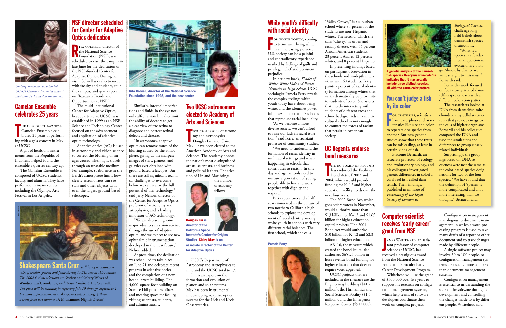#### You can't judge a fish by its color

For centuries, scientists have used physical charac- teristics like size and color to separate one species from another. But new genetic studies show that these traits can be misleading, at least in certain kinds of fish.

*Biological Sciences,* challenge longheld beliefs about damselfish species distinctions.

Giacomo Bernardi, an associate professor of ecology and evolutionary biology, and his colleagues investigated genetic differences in colorful coral reef fish called damselfish. Their findings, published in an issue of *Proceedings of the Royal Society of London B:*

"What is a species is a fundamental question in evolutionary biolo-

gy. Almost by chance we went straight to this issue," Bernardi said.

Bernardi's work focused on four closely related damselfish species, each with a different coloration pattern.

AMES WHITEHEAD, an assis-<br>tant professor of computer<br>science at UCSC, has received a prestigious award from the National Science Foundation's Faculty Early Career Development Program.

The researchers looked at DNA from damselfish mitochondria, tiny cellular structures that provide energy to the cells of higher organisms. Bernardi and his colleagues compared the DNA and used the similarities and differences to group closely related individuals.

Surprisingly, the groupings based on DNA sequences were not the same as the color-based species designations for two of the four species. "We have found that the definition of 'species' is more complicated and a lot more interesting than we thought," Bernardi said.

FOR WHITE YOUTH, coming<br>to terms with being white<br>in an increasingly diverse U.S. society can be a painful and contradictory experience marked by feelings of guilt and privilege, relief and persistent prejudice.

#### Computer scientist receives 'early career' grant from NSF

Whitehead will use the grant of \$300,000 over five years to support his research on configuration management systems, which help teams of software developers coordinate their work on complex projects.

Configuration management is analogous to document management, in which a word-processing program is used to save many drafts of a report or other document and to track changes made by different people.

A single software project may involve 50 to 100 people, so configuration management systems are usually more complex than document management systems.

Configuration management is essential to understanding the state of the software during its development and controlling the changes made to it by different people, Whitehead said.

THE UC BOARD OF REGENTS<br>has endorsed the Facilities<br>Bond Acts of 2002 and 2004, which would provide funding for K–12 and higher education facility needs over the next four years.

#### White youth's difficulty with racial identity

In her new book, *Shades of White: White Kids and Racial Identities in High School,* UCSC sociologist Pamela Perry reveals the complex feelings white youth today have about being white, and she identifies powerful forces in our nation's schools that reproduce racial inequality.

"As we become a more diverse society, we can't afford to raise our kids in racial isolation," said Perry, an assistant professor of community studies. "We need to understand the

formation of racial identity in multiracial settings and what's happening in schools that contributes to racism. In this day and age, schools need to nurture a generation of young people able to live and work together with dignity and respect."

Perry spent two and a half years immersed in the culture of two northern California high schools to explore the development of racial identity among white youth in schools with very different racial balances. The first school, which she calls

"Valley Groves," is a suburban school where 83 percent of the students are non-Hispanic whites. The second, which she calls "Clavey," is urban and racially diverse, with 54 percent African American students, 23 percent Asians, 12 percent whites, and 8 percent Hispanics.

In presenting findings based on participant observation in the schools and in-depth interviews with 60 students, Perry paints a portrait of racial identity formation among whites that varies dramatically by proximity to students of color. She asserts that merely interacting with students of different races and ethnic backgrounds in a multicultural school is not enough to counter the forces of racism that persist in American society.

THE UCSC WEST JAVANESE<br>
Gamelan Ensemble celebrated 25 years of perform-Gamelan Ensemble celeing with a gala concert in May at UCSC.



A genetic analysis of the damselfish species Dascyllus trimaculatu indicates that it may actually include three distinct species, all with the same color pattern.

**TWO PROFESSORS of astrono-** my and astrophysics— **Douglas Lin and Claire** Max—have been elected to the American Academy of Arts and Sciences. The academy honors the nation's most distinguished artists, scientists, and business and political leaders. The selection of Lin and Max brings

#### UC Regents endorse bond measures

The 2002 Bond Act, which goes before voters in November, would authorize more than \$13 billion for K–12 and \$1.65 billion for higher education capital projects. The 2004 Bond Act would authorize \$10 billion for K–12 and \$2.3 billion for higher education.

AB–16, the measure which created the bond issues, also authorizes \$651.3 billion in lease revenue bond funding for higher education that does not require voter approval.

UCSC projects that are included in the measure are the Engineering Building (\$41.2 million), the Humanities and Social Sciences Facility (\$1.5 million), and the Emergency Response Center (\$517,000).



#### Pamela Perry

#### NSF director scheduled for Center for Adaptive Optics dedication

Rita colwell, director of the National Science **K**Foundation (NSF), was scheduled to visit the campus in late June for the dedication of the NSF-funded Center for Adaptive Optics. During her visit, Colwell was also to meet with faculty and students, tour the campus, and give a speech on "Research Trends and Opportunities at NSF."

The multi-institutional Center for Adaptive Optics, headquartered at UCSC, was established in 1999 as an NSF Science and Technology Center focused on the advancement and application of adaptive optics technology.

Adaptive optics (AO) is used in astronomy and vision science to correct the blurring of images caused when light travels through an unstable medium. For example, turbulence in the Earth's atmosphere limits how clearly astronomers can see stars and other objects with even the largest ground-based telescopes.

Similarly, internal imperfections and fluids in the eye not only affect vision but also limit the ability of doctors to get a clear view of the retina to diagnose and correct retinal defects and disease.

"In astronomy, adaptive optics can remove much of the blurring caused by the atmos<sup>p</sup>here, giving us the sharpest images of stars, planets, and galaxies ever obtained with ground-based telescopes. But there are still significant technical challenges to overcome before we can realize the full potential of this technology," said Jerry Nelson, director of the Center for Adaptive Optics, professor of astronomy and astrophysics, and a leading innovator of AO technology.

"We are also seeing some major advances in vision science through the use of adaptive optics, and we expect to see new ophthalmic instrumentation developed in the near future," Nelson added.

At press time, the dedication was scheduled to take place on June 21 and celebrate recent progress in adaptive optics and the completion of a new headquarters building. The 4,000-square-foot building on Science Hill provides offices and meeting space for faculty, visiting scientists, students, and administrators.

*will bring its audiences* Shakespeare Santa Cruz*tales of wealth, power, and fame during its 21st season this summer. The 2002 festival selections are Shakespeare's*  Merry Wives of Windsor *and* Coriolanus, *and Anton Chekhov's* The Sea Gull. *The plays will be running in repertory July 10 through September 1. For more information, see* shakespearesantacruz.org. *(Above: a scene from last summer's* A Midsummer Night's Dream)



Rita Colwell, director of the National Science Foundation since 1998, and the new center



#### Gamelan Ensemble celebrates 25 years

A gift of heirloom instruments from the Republic of Indonesia helped found the ensemble a quarter century ago.

The Gamelan Ensemble is composed of UCSC students, faculty, and alumni. They have performed in many venues, including the Olympic Arts Festival in Los Angeles.



*Undang Sumarna, who has led UCSC's Gamelan Ensemble since its inception, performed at the concert.*

national science foundation

#### Two UCSC astronomers elected to Academy of Arts and Sciences

the number of academy fellows

in UCSC's Department of Astronomy and Astrophysics to nine and the UCSC total to 17.

Lin is an expert on the formation and evolution of planets and solar systems. Max has been instrumental in developing adaptive optics systems for the Lick and Keck Observatories.



California Space Institute's Center for Origins Studies. Claire Max is an associate director of the Center for Adaptive Optics.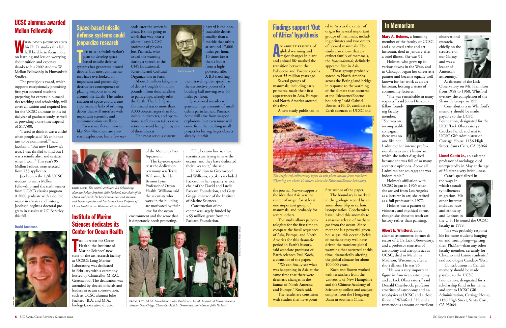#### Findings support 'Out of Africa' hypothesis

An abrupt episode of <sup>g</sup>lobal warming and major changes in plant and animal life marked the transition between the Paleocene and Eocene epochs about 55 million years ago.

Several groups of mammals, including early primates, made their first appearances in Asia, Europe, and North America around

The results are consistent with studies that have point-

the journal *Science* supports the idea that Asia was the center of origin for at least one important group of mammals, and probably for several others.

The study allows paleontologists for the first time to compare the fossil sequences of Asia, Europe, and North America for this dramatic period in Earth's history, said associate professor of Earth sciences Paul Koch, a coauthor of the paper.

"We can finally see what was happening in Asia at the same time that there were dramatic changes in the faunas of North America and Europe," Koch said.

ed to Asia as the center of origin for several important groups of mammals, includ ing primates and two orders of hooved mammals. The study also shows that an extinct family of mammals, the *hyaenodontids,* definitely appeared first in Asia.

Mary A. Holmes, a founding member of the faculty of UCSC and a beloved artist and art historian, died in January after a brief illness. She was 91.

"These groups probably spread to North America across the Bering land bridge in response to the warming of the climate that occurred at the Paleocene/Eocene boundary," said Gabriel

first author of the paper. The boundary is marked in the geologic record by an anomalous blip in carbon isotope ratios. Geochemists have linked this anomaly to a massive release of methane gas from the ocean. Since methane is a powerful greenhouse gas, this oceanic belch of methane may well have driven the transient global warming that occurred at this time, dramatically altering

observational research, chiefly on the structure of our Galaxy, and was a leader of American astronomy.



the global climate for about 100,000 years. Koch and Bowen worked with researchers from the University of New Hampshire and the Chinese Academy of Sciences to collect and analyze samples from the Hengyang Basin in southern China.

Lionel Cantú Jr., an assistant professor of sociology, died unexpectedly in May at the age of 36 after a very brief illness.

*The bright red sedimentary layers in this photo mosaic from northern Wyoming are about 10 meters above the Paleocene/Eocene boundary.* 

Holmes, who grew up in various towns in the West, and in Chicago, began her career as a painter and became equally well known for her work as an art historian, hosting a series of community lectures.

"She was remarkable in many respects," said John Dizikes, a



THE CENTER for Ocean<br>Health, the Institute of<br>Marine Sciences' new Health, the Institute of **Marine Sciences' new** state-of-the-art research facility at UCSC's Long Marine Laboratory, was dedicated in February with a ceremony hosted by Chancellor M.R.C. Greenwood. The dedication was attended by elected officials and leaders in ocean conservation, such as UCSC alumna Julie Packard (B.A. and M.A., biology), executive director

fellow founding faculty member. "She was an incomparable colleague; there was no one like her.



I admired her intense professionalism as an art historian, which she rather disguised because she was full of so many eccentric opinions. Above all I admired her courage; she was indomitable."

Holmes's affiliation with UCSC began in 1965 when she arrived from Los Angeles as a lecturer in art; she retired as a full professor in 1977.

Holmes was a painter of visionary and mythical forms, though she chose to teach art history rather than painting.

Albert E. Whitford, an acclaimed astronomer, former director of UC's Lick Observatory, and a professor emeritus of astronomy and astrophysics at UCSC, died in March in Madison, Wisconsin, after a short illness. He was 96.

"He was a very important figure in American astronomy and at Lick Observatory," said Donald Osterbrock, professor emeritus of astronomy and astrophysics at UCSC and a close friend of Whitford. "He did a tremendous amount of excellent

THE BUSH administration's<br>plan to develop space-<br>based missile defense systems has generated heated debate, but most commentators have overlooked an important and potentially destructive consequence of <sup>p</sup>lacing weapons in orbit around the Earth: The militarization of space could create a permanent halo of orbiting debris that will interfere with important scientific and communication satellites.

As director of the Lick Observatory on Mt. Hamilton from 1958 to 1968, Whitford oversaw the completion of the Shane Telescope in 1959.

Contributions in Whitford's memory should be made payable to the UCSC Foundation, designated for the UCO/Lick Observatory's Crocker Fund, and sent to UCSC Gift Administration, Carriage House, 1156 High Street, Santa Cruz, CA 95064.

Cantú specialized in

the ways in which sexuality influences migration. His other interests included race and ethnicity, and Latinos in

the U.S. He joined the UCSC faculty in 1999.

"He was probably responsible for more students hanging on and triumphing—getting their Ph.D.s—than any other faculty member, certainly for Chicano and Latino students," said sociologist Candace West.

Contributions in Cantú's memory should be made payable to the UCSC Foundation, designated for a scholarship fund in his name, and sent to UCSC Gift Administration, Carriage House, 1156 High Street, Santa Cruz, CA 95064.

#### In Memoriam

#### Institute of Marine Sciences dedicates its Center for Ocean Health

of the Monterey Bay

Aquarium.

The keynote speaker at the dedication ceremony was Terrie Williams, the Ida Benson Lynn Professor of Ocean Health. Williams said the scientists who work in the building are motivated by their love for the ocean environment and the sense that it desperately needs protecting.



"The bottom line is, these scientists are trying to save the oceans, and they have dedicated their lives to it," she said.

In addition to Greenwood and Williams, speakers included Packard, in her capacity as vice chair of the David and Lucile Packard Foundation, and Gary Griggs, director of the Institute of Marine Sciences.

Construction of the center was largely funded by a \$5 million grant from the Packard Foundation.

#### UCSC alumnus awarded Mellon Fellowship

When david jacobson starts his Ph.D. studies this fall, he'll be able to focus more on learning and less on worrying about tuition and expenses, thanks to his 2002 Andrew W. Mellon Fellowship in Humanistic Studies.

The prestigious award, which supports exceptionally promising first-year doctoral students preparing for careers in humanities teaching and scholarship, will cover all tuition and required fees for the UCSC alumnus in his initial year of graduate study, as well as providing a one-time stipend of \$17,500.

"I used to think it was a cliché when people said 'It's an honor just to be nominated,'" said Jacobson. "But now I know it's true. I was thrilled to find out I was a semifinalist, and ecstatic when I won." This year's 95 Mellon Fellows were selected from 753 applicants.

Jacobson is the 17th UCSC student to win a Mellon Fellowship, and the sixth winner from UCSC's classics program. A 2000 graduate with a double major in classics and history, Jacobson begins a doctoral program in classics at UC Berkeley this fall.

"In science fiction movies like *Star Wars* there are constant explosions, but a few sec-

onds later the screen is clean. It's not going to work that way near a planet," says UCSC professor of physics Joel Primack, who issued the warning during a speech at the UN's Educational, Scientific and Cultural Organization in Paris.

About 3 million kilograms of debris (roughly 6 million pounds), from dead satellites to paint chips, already orbit the Earth. The U.S. Space Command tracks more than 9,000 objects larger than four inches in diameter, and operational satellites can take evasive action to avoid being hit by one of these objects.

The most serious current

hazard is the nontrackable debris smaller than a marble that orbits at around 17,000 miles per hour, 10 times faster than a bullet from a highpowered rifle.

A BB-sized fragment traveling that speed has the destructive power of a bowling ball moving over 60 miles per hour. Space-based missiles will

generate huge amounts of small debris particles, said Primack. Some will arise from weapon explosions, but even more will come from the resulting small projectiles hitting larger objects already in orbit.

*Joel Primack*

from left: *The center's architect, Jon Schleuning; alumnus Robert Stephens; Julie Packard, vice chair of the David and Lucile Packard Foundation and alumna; and keynote speaker and Ida Benson Lynn Professor of Ocean Health Terrie Williams, at the dedication*



from left: *UCSC Foundation trustee Paul Irwin, UCSC Institute of Marine Sciences director Gary Griggs, Chancellor M.R.C. Greenwood, and alumna Julie Packard*

David Jacobson





ucsc photo services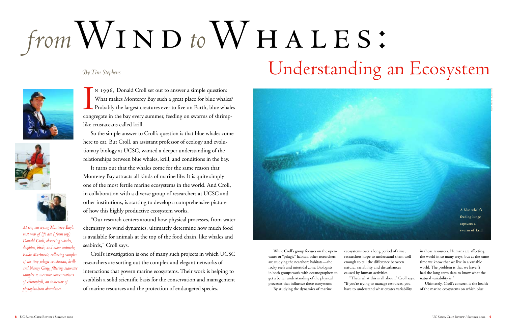IN 1996, Donald Croll set out to answer a simple question:<br>What makes Monterey Bay such a great place for blue whales?<br>Probably the largest creatures ever to live on Earth, blue whales. congregate in the bay every summer, feeding on swarms of shrimplike crustaceans called krill.

So the simple answer to Croll's question is that blue whales come here to eat. But Croll, an assistant professor of ecology and evolutionary biology at UCSC, wanted a deeper understanding of the relationships between blue whales, krill, and conditions in the bay.

It turns out that the whales come for the same reason that Monterey Bay attracts all kinds of marine life: It is quite simply one of the most fertile marine ecosystems in the world. And Croll, in collaboration with a diverse group of researchers at UCSC and other institutions, is starting to develop a comprehensive picture of how this highly productive ecosystem works.

chemistry to wind dynamics, ultimately determine how much food is available for animals at the top of the food chain, like whales and seabirds," Croll says.

Croll's investigation is one of many such projects in which UCSC researchers are sorting out the complex and elegant networks of interactions that govern marine ecosystems. Their work is helping to establish a solid scientific basis for the conservation and management of marine resources and the protection of endangered species.

While Croll's group focuses on the openwater or "pelagic" habitat, other researchers are studying the nearshore habitats—the rocky reefs and intertidal zone. Biologists in both groups work with oceanographers to get a better understanding of the physical processes that influence these ecosystems. By studying the dynamics of marine



ecosystems over a long period of time, researchers hope to understand them well enough to tell the difference between natural variability and disturbances caused by human activities. "That's what this is all about," Croll says.

"If you're trying to manage resources, you have to understand what creates variability

in those resources. Humans are affecting the world in so many ways, but at the same time we know that we live in a variable world. The problem is that we haven't had the long-term data to know what the natural variability is."

Ultimately, Croll's concern is the health of the marine ecosystems on which blue

*At sea, surveying Monterey Bay's vast web of life are ( from top) Donald Croll, observing whales, dolphins, birds, and other animals; Baldo Marinovic, collecting samples of the tiny pelagic crustacean, krill; and Nancy Gong, filtering seawater samples to measure concentrations of chlorophyll, an indicator of <sup>p</sup>hytoplankton abundance.*

# from  $WIND$  to  $WHALES$ : *By Tim Stephens* Understanding an Ecosystem





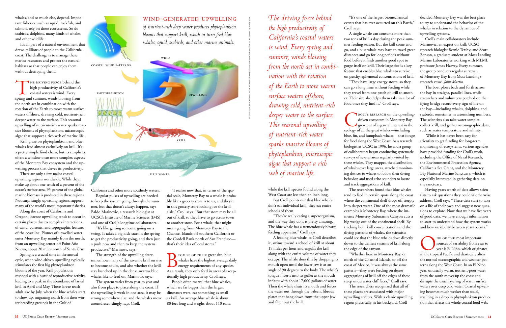whales, and so much else, depend. Important fisheries, such as squid, rockfish, and salmon, rely on these ecosystems. So do seabirds, dolphins, many kinds of whales, and other wildlife.

It's all part of a natural environment that draws millions of people to the California coast. The challenge is to manage these marine resources and protect the natural habitats so that people can enjoy them without destroying them.

THE DRIVING FORCE behind the high productivity of California's coastal waters is wind. Every spring and summer, winds blowing from the north act in combination with the rotation of the Earth to move warm surface waters offshore, drawing cold, nutrient-rich deeper water to the surface. This seasonal upwelling of nutrient-rich water sparks massive blooms of phytoplankton, microscopic algae that support a rich web of marine life.

Krill graze on phytoplankton, and blue whales feed almost exclusively on krill. It's a pretty simple food chain, but its simplicity offers a window onto more complex aspects of the Monterey Bay ecosystem and the upwelling process that drives its productivity.

There are only a few major coastal upwelling regions worldwide. While they make up about one-tenth of a percent of the ocean's surface area, 95 percent of the global marine biomass is produced in these regions. Not surprisingly, upwelling regions support many of the world's most important fisheries.

Along the coast of California and Oregon, intense upwelling tends to occur in certain places due to complex interactions of wind, currents, and topographic features of the coastline. Plumes of upwelled water enter Monterey Bay mainly from the north, from an upwelling center off Point Año Nuevo, about 20 miles north of Santa Cruz.

> BECAUSE OF THEIR great size, blue<br>whales have the highest average daily<br>energy requirements of any species. As a result, they only feed in areas of exceptionally high productivity, Croll says.

Spring is a crucial time in the annual cycle, when wind-driven upwelling typically stimulates the first big phytoplankton blooms of the year. Krill populations respond with a burst of reproductive activity, leading to a peak in the abundance of larval krill in April and May. These larvae reach adult size by July, when the blue whales start to show up, migrating north from their winter breeding grounds in the Gulf of



California and other more southerly waters. Regular pulses of upwelling are needed to keep the system going through the summer, but that doesn't always happen, says Baldo Marinovic, a research biologist at UCSC's Institute of Marine Sciences (IMS) and one of Croll's longtime collaborators.

"It's like getting someone going on a swing. It takes a big kick-start in the spring to get the productivity going, and then just a push now and then to keep the system productive," Marinovic says.

The strength of the upwelling determines how many of the juvenile krill survive to become adults, and also whether the krill stay bunched up in the dense swarms blue whales like to feed on, Marinovic says.

The system varies from year to year and also from place to place along the coast. If the upwelling is weak in one area, it may be strong somewhere else, and the whales move around accordingly, says Croll.

 $\bigcirc$ **ROLL'S RESEARCH On the upwelling**driven ecosystem in Monterey Bay grew out of a general interest in the ecology of all the great whales—including blue, fin, and humpback whales—that forage for food along the West Coast. As a research biologist at UCSC in 1996, he and a group of collaborators began conducting systematic surveys of several areas regularly visited by these whales. They mapped the distribution of whales over large areas, attached monitoring devices to whales to follow their diving behavior, and used echo sounders to locate and track aggregations of krill.

"I realize now that, in terms of the spatial scale, Monterey Bay to a whale is probably like a grocery store is to us, and they're in this grocery store looking for the krill aisle," Croll says. "But that store may be all out of krill, so they have to go across town to another store. For a whale, that might mean going from Monterey Bay to the Channel Islands off southern California or the Cordell Bank north of San Francisco that's their idea of local stores."

People often marvel that blue whales, which are far bigger than the largest dinosaurs were, eat something as small as krill. An average blue whale is about 80 feet long and weighs about 110 tons,

while the krill species found along the West Coast are less than an inch long.

But Croll points out that blue whales don't eat individual krill, they eat entire schools of them.

"They're really eating a superorganism, and the way they do it is pretty amazing. The blue whale has a tremendously bizarre feeding apparatus," Croll says.

> NE OF THE most important<br>sources of variability from year to year is El Niño, which originates in the tropical Pacific and drastically alters the normal oceanographic and weather patterns along the West Coast. In an El Niño year, unusually warm, nutrient-poor water from the south moves up the coast and disrupts the usual layering of warm surface waters over deep cold water. Coastal upwelling becomes much weaker than usual, resulting in a drop in phytoplankton production that affects the whole coastal food web.

A feeding blue whale, as Croll describes it, swims toward a school of krill at about 15 miles per hour and engulfs the krill along with the entire volume of water they occupy. The whale does this by dropping its mouth open until the lower jaw is at an angle of 90 degrees to the body. The whale's tongue inverts into its gullet as the mouth inflates with about 17,000 gallons of water. Then the whale shuts its mouth and forces the water out through the baleen, fibrous <sup>p</sup>lates that hang down from the upper jaw and filter out the krill.

"It's one of the largest biomechanical events that has ever occurred on this Earth," Croll says.

A single whale can consume more than "They have large energy stores, so they

two tons of krill a day during the peak summer feeding season. But the krill come and go, and a blue whale may have to travel great distances and go for long periods without food before it finds another good spot to gorge itself on krill. Their large size is a key feature that enables blue whales to survive on patchy, ephemeral concentrations of krill. can go a long time without feeding while they travel from one patch of krill to another. Their size also helps them take in a lot of food once they find it," Croll says.

The researchers found that blue whales tend to feed in certain spots along the coast where the continental shelf drops off steeply into deeper water. One of the most dramatic examples is Monterey Bay, where the immense Monterey Submarine Canyon cuts a big wedge out of the continental shelf. By tracking both krill concentrations and the diving patterns of whales, the scientists could see that the blue whales dove directly down to the densest swarms of krill along the edge of the canyon.

"Whether here in Monterey Bay, or north of the Channel Islands, or off the coast of Mexico, it was always the same pattern—they were feeding on dense aggregations of krill off the edges of these steep underwater cliff faces," Croll says. The researchers recognized that all of these places are associated with major upwelling centers. With a classic upwelling region practically in his backyard, Croll

decided Monterey Bay was the best place to try to understand the behavior of the whales in relation to the dynamics of upwelling systems.

Croll's main collaborators include Marinovic, an expert on krill; UCSC research biologist Bernie Tershy; and Scott Benson, a graduate student at Moss Landing Marine Laboratories working with MLML professor James Harvey. Every summer, the group conducts regular surveys of Monterey Bay from Moss Landing's research vessel *John Martin.*

The boat plows back and forth across the bay in straight, parallel lines, while researchers and volunteers perched on the flying bridge record every sign of life on the bay—including whales, dolphins, and seabirds, sometimes in astonishing numbers. The scientists also take water samples, collect krill, and gather oceanographic data, such as water temperature and salinity.

While it has never been easy for scientists to get funding for long-term monitoring of ecosystems, various agencies have provided funding for Croll's work, including the Office of Naval Research, the Environmental Protection Agency, California Sea Grant, and the Monterey Bay National Marine Sanctuary, which is especially interested in gathering data on the sanctuary.

Having years worth of data allows scientists to ask questions they couldn't otherwise address, Croll says. "These data start to take on a life of their own and suggest new questions to explore. Now that we have five years of good data, we have enough information to start to understand how the system works and how variability between years occurs."

*<sup>T</sup>he driving force behind the high productivity of California's coastal waters is wind. Every spring and summer, winds blowing from the north act in combination with the rotation of the Earth to move warm surface waters offshore, drawing cold, nutrient-rich deeper water to the surface. This seasonal upwelling of nutrient-rich water sparks massive blooms of <sup>p</sup>hytoplankton, microscopic algae that support a rich web of marine life.*

wind-generated upwelling



*of nutrient-rich deep water produces phytoplankton blooms that support krill, which in turn feed blue whales, squid, seabirds, and other marine animals.*

illustrations: blue whale by pieter folkens, courtesy ucsc institute of marine sciences; all others, linda knudson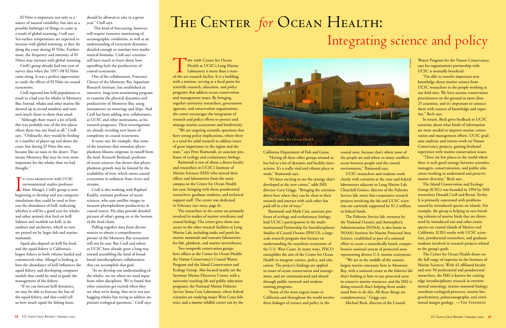El Niño is important not only as a source of natural variability, but also as a possible harbinger of things to come as a result of global warming, Croll says. Sea-surface temperatures are expected to increase with global warming, as they do along the coast during El Niño. Furthermore, the frequency and intensity of El Niños may increase with global warming.

Croll's group already had one year of survey data when the 1997–98 El Niño came along. It was a perfect opportunity to study the effects of El Niño on coastal ecosystems.

Croll expected low krill populations to result in a bad year for whales in Monterey Bay. Instead, whales and other marine life showed up in record numbers and were seen much closer to shore than usual.

"Although there wasn't a lot of krill, this was probably one of the few places where there was any food at all," Croll says. "Ordinarily, they would be feeding in a number of places up and down the coast, but during El Niño this area became like an oasis in the desert. That means Monterey Bay may be even more important for the whales than we had thought."

In collaboration with UCSC environmental studies professor Marc Mangel, Croll's group is now beginning to develop and test computer simulations that could be used to forecast the abundance of krill, indicating whether it will be a good year for whales and other animals that feed on krill. Salmon and rockfish eat krill, as do sardines and anchovies, which in turn are preyed on by larger fish and marine mammals.

Squid also depend on krill for food, and the squid fishery is California's largest fishery in both volume landed and commercial value. Mangel is looking at how the abundance of krill influences the squid fishery, and developing computer models that could be used to guide the management of the fishery.

"If we can forecast krill dynamics, we may be able to forecast the fate of the squid fishery, and that could tell us how much squid the fishing boats

should be allowed to take in a given year," Croll says.

This kind of forecasting, however, will require extensive monitoring of oceanographic conditions, as well as an understanding of ecosystem dynamics detailed enough to translate into mathematical formulas. Croll says scientists still have much to learn about how upwelling fuels the productivity of coastal ecosystems.

One of his collaborators, Francisco Chavez of the Monterey Bay Aquarium Research Institute, has established an intensive, long-term monitoring program to examine the physical dynamics and productivity of Monterey Bay, using instruments on moorings and ships. And Croll has been adding new collaborators, at UCSC and other institutions, as his research progresses. Their investigations are already revealing new layers of complexity in coastal ecosystems.

It turns out, for example, that some of the nutrients that stimulate phyto<sup>p</sup>lankton blooms originate in runoff from the land. Kenneth Bruland, professor of ocean sciences, has shown that phyto<sup>p</sup>lankton growth may be limited by the availability of iron, which enters coastal ecosystems in sediment from rivers and streams.

Croll is also working with Raphael Kudela, assistant professor of ocean sciences, who uses satellite images to measure phytoplankton productivity in coastal waters. His data provide detailed <sup>p</sup>ictures of what's going on at the bottom of the food chain.

Pulling together data from diverse sources to obtain a comprehensive picture of the Monterey Bay ecosystem will not be easy. But Croll and others at UCSC have already gone a long way toward assembling the kind of broadbased interdisciplinary collaboration that can accomplish that goal.

"As we develop our understanding of the whales, we see where we need input from other disciplines. We've found that other scientists get excited when they see what we're doing, that we're not just hugging whales but trying to address important ecological questions," Croll says.

The Center for Ocean Health draws on the full range of expertise in the Institute of Marine Sciences. With 43 affiliated faculty and over 50 professional and postdoctoral researchers, the IMS is known for cuttingedge interdisciplinary research in environmental toxicology, marine mammal biology, nearshore ecological processes, marine biogeochemistry, paleoceanography, and continental margin geology. - TIM STEPHENS

California Department of Fish and Game.

"Having all these other groups around us has led to a lot of dynamic and healthy interactions. It's a really vital and vibrant place to work," Raimondi says.

"It's been exciting to see the synergy that's developed at the new center," adds IMS director Gary Griggs. "Bringing the scientists down here where they can be close to their research and interact with each other has paid off in a lot of ways."

THE NEW Center for Ocean<br>Health at UCSC's Long Marine<br>Laboratory is more than a stateof-the-art research facility. It is a building with a mission, serving as a focal point for scientific research, education, and policy programs that address ocean conservation and management issues. By bringing together university researchers, government agencies, and conservation organizations, the center encourages the integration of research and policy efforts to protect and manage marine ecosystems and biodiversity.

> Raimondi and Mark Carr, associate professor of ecology and evolutionary biology, lead UCSC's participation in the multiinstitutional Partnership for Interdisciplinary Studies of Coastal Oceans (PISCO), a largescale research program that focuses on understanding the nearshore ecosystems of the U.S. West Coast. In many ways, PISCO exemplifies the aim of the Center for Ocean Health to integrate science, policy, and education. The project's findings are applied to issues of ocean conservation and management, and are communicated and shared through public outreach and studenttraining programs.

### THE CENTER *for* OCEAN HEALTH: Integrating science and policy

"Some of the most urgent issues in California and throughout the world involve these linkages of science and policy in the

coastal zone, because that's where most of the people are and where so many conflicts occur between people and the coastal environment," Raimondi says.

UCSC researchers and students work closely with scientists at the state and federal laboratories adjacent to Long Marine Lab. Churchill Grimes, director of the Fisheries Service lab, notes that cooperative research projects involving the lab and UCSC scientists are currently supported by \$1.2 million in federal funds.

The Fisheries Service lab, overseen by the National Oceanic and Atmospheric Administration (NOAA), is also home to NOAA's Institute for Marine Protected Area Science, established as part of a national effort to create a scientifically based, comprehensive national system of protected areas representing diverse U.S. marine ecosystems. "We are in the middle of the nation's largest marine sanctuary here in Monterey Bay, with a national center at the fisheries lab that's looking at how to use protected areas to conserve marine resources, and the IMS is doing research that's helping them understand how to do this. All these things are complementary," Griggs says.

Michael Beck, director of the Coastal

Waters Program for the Nature Conservancy, says his organization's partnership with UCSC is mutually beneficial.

"I'm able to transfer important new knowledge about marine science from UCSC researchers to the people working at our field sites. We have marine conservation practitioners on the ground in more than 25 countries, and it's important to connect them with sources of knowledge and expertise," Beck says.

In return, Beck gives feedback to UCSC scientists about what kinds of information are most needed to improve marine conservation and management efforts. UCSC graduate students and interns work on Nature Conservancy projects, gaining firsthand experience with marine conservation issues.

"There are few places in the world where there is such good synergy between scientists, managers, conservationists, and public educators working to understand and preserve marine diversity," Beck says.

The Island Conservation and Ecology Group (ICEG) was founded in 1994 by IMS researchers Donald Croll and Bernie Tershy. It is primarily concerned with problems caused by introduced species on islands. For example, the group is helping to save breeding colonies of marine birds that are threatened by introduced rats and other exotic species on coastal islands of Mexico and California. ICEG works with UCSC scientists, postdoctoral researchers, and graduate students involved in research projects related to the group's goals.

"We are targeting scientific questions that have strong policy implications, where there is a need for solid research to address issues of great importance to the region and the state," says Peter Raimondi, an associate professor of ecology and evolutionary biology.

Raimondi is one of about a dozen faculty and researchers in UCSC's Institute of Marine Sciences (IMS) who moved their offices and laboratories from the main campus to the Center for Ocean Health last year, bringing with them postdoctoral researchers, graduate students, and technical support staff. The center was dedicated in February (see story, page 6).

The researchers in the center are primarily involved in studies of marine vertebrates and coastal biology. The center gives them easy access to the other research facilities at Long Marine Lab, including tanks and pools for marine mammals and seawater laboratories for fish, plankton, and marine invertebrates.

Two nonprofit conservation groups have offices at the Center for Ocean Health: the Nature Conservancy's Coastal Waters Program and the Island Conservation and Ecology Group. Also located nearby are the Seymour Marine Discovery Center, with a university teaching lab and public education programs; the National Marine Fisheries Service Santa Cruz Laboratory, where federal scientists are studying major West Coast fisheries; and a marine wildlife center run by the

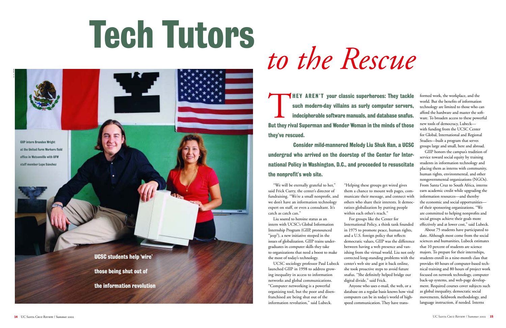# *to the Rescue*

"We will be eternally grateful to her," said Frick Curry, the center's director of fundraising. "We're a small nonprofit, and we don't have an information technology expert on staff, or even a consultant. It's catch as catch can."

Liu soared to heroine status as an intern with UCSC's Global Information Internship Program (GIIP, pronounced "jeep"), a new initiative steeped in the issues of globalization. GIIP trains undergraduates in computer skills they take to organizations that need a boost to make the most of today's technology.

UCSC sociology professor Paul Lubeck launched GIIP in 1998 to address growing inequality in access to information networks and global communications. "Computer networking is a powerful organizing tool, but the poor and disenfranchised are being shut out of the information revolution," said Lubeck.

"Helping these groups get wired gives them a chance to mount web pages, communicate their message, and connect with others who share their interests. It democratizes globalization by putting people within each other's reach."

For groups like the Center for International Policy, a think tank founded in 1975 to promote peace, human rights, and a U.S. foreign policy that reflects democratic values, GIIP was the difference between having a web presence and vanishing from the virtual world. Liu not only corrected long-standing problems with the center's web site and got it back online, she took proactive steps to avoid future snafus. "She definitely helped bridge our digital divide," said Frick.

Anyone who uses e-mail, the web, or a database on a regular basis knows how vital computers can be in today's world of highspeed communication. They have transformed work, the workplace, and the world. But the benefits of information technology are limited to those who can afford the hardware and master the soft ware. To broaden access to these powerful new tools of democracy, Lubeck with funding from the UCSC Center for Global, International and Regional Studies—built a program that serves groups large and small, here and abroad.

GIIP honors the campus's tradition of service toward social equity by training students in information technology and <sup>p</sup>lacing them as interns with community, human rights, environmental, and other nongovernmental organizations (NGOs). From Santa Cruz to South Africa, interns earn academic credit while upgrading the information resources—and thereby the economic and social opportunities of their sponsoring organizations. "We are committed to helping nonprofits and social groups achieve their goals more effectively and at lower cost," said Lubeck.

About 75 students have participated to date. Although most come from the social sciences and humanities, Lubeck estimates that 10 percent of students are science majors. To prepare for their internships, students enroll in a nine-month class that provides 40 hours of computer-based tech nical training and 80 hours of project work focused on network technology, computer back-up systems, and web-page develop ment. Required courses cover subjects such as global inequality, democratic social movements, fieldwork methodology, and



# Tech Tutors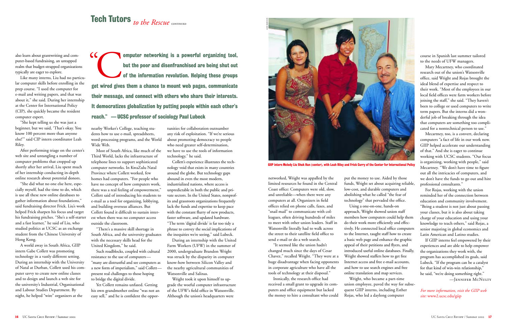### Tech Tutors to the Rescue continued

also learn about grantwriting and computer-based fundraising, an untapped realm that budget-strapped organizations typically are eager to explore.

Like many interns, Liu had no particular computer skills before enrolling in the prep course. "I used the computer for e-mail and writing papers, and that was about it," she said. During her internship at the Center for International Policy (CIP), she quickly became the resident computer expert.

"She kept telling us she was just a beginner, but we said, 'That's okay. You know 100 percent more than anyone else!'" said CIP intern coordinator Leah Riley.

After performing triage on the center's web site and untangling a number of computer problems that cropped up shortly after her arrival, Liu spent much of her internship conducting in-depth online research about potential donors.

"She did what no one else here, especially myself, had the time to do, which is use all these new online databases to gather information about foundations," said fundraising director Frick. Liu's work helped Frick sharpen his focus and target his fundraising pitches. "She's a self-starter and a fast learner," he said of Liu, who studied politics at UCSC as an exchange student from the Chinese University of Hong Kong.

A world away in South Africa, GIIP intern Gabe Collett was promoting technology in a vastly different setting. During an internship with the University of Natal at Durban, Collett used his computer savvy to create new online classes and to design and launch a web site for the university's Industrial, Organisational and Labour Studies Department. By night, he helped "wire" organizers at the

nearby Worker's College, teaching students how to use e-mail, spreadsheets, word-processing programs, and the World Wide Web.

Most of South Africa, like much of the Third World, lacks the infrastructure of telephone lines to support sophisticated computer networks. In KwaZulu Natal Province where Collett worked, few homes had computers. "For people who have no concept of how computers work, there was a real feeling of empowerment," Collett said of introducing his students to e-mail as a tool for organizing, lobbying, and building overseas alliances. But Collett found it difficult to sustain interest when there was no computer access outside the classroom.

"There's a massive skill shortage in South Africa, and the university graduates with the necessary skills head for the United Kingdom," he said.

Such roadblocks, coupled with cultural resistance to the use of computers— "many are distrustful and see computers as a new form of imperialism," said Collett present real challenges to those hoping to bridge the digital divide.

Yet Collett remains unfazed. Getting his own grandmother online "was not an easy sell," and he is confident the oppor-

tunities for collaboration outnumber any risk of exploitation. "If we're serious about promoting democracy to people who need greater self-determination, we have to use the tools of information technology," he said. Collett's experience illustrates the tech-

nology void that exists in many countries around the globe. But technology gaps abound in even the most modern, industrialized nations, where access is unpredictable in both the public and pri vate sectors. In the United States, nonprof its and grassroots organizations frequently lack the funds and expertise to keep pace with the constant flurry of new products, faster software, and updated hardware. "The term 'digital divide' is far too tidy a phrase to convey the social implications of

Computer networking is a powerful organizing tool, but the poor and disenfranchised are being shut out of the information revolution. Helping these groups get wired gives them a chance to mount web pages, communicate their message, and connect with others who share their interests. It democratizes globalization by putting people within each other's reach." —UCSC professor of sociology Paul Lubeck  $\epsilon$ 

> the inequities we're seeing," said Lubeck. During an internship with the United Farm Workers (UFW) in the summer of 2000, undergraduate Brandon Wright was struck by the disparity in computer know-how between Silicon Valley and the nearby agricultural communities of Watsonville and Salinas.

Wright took it upon himself to up grade the woeful computer infrastructure of the UFW's field office in Watsonville.

course in Spanish last summer tailored to the needs of UFW managers.

Mary Mecartney, who coordinated research out of the union's Watsonville office, said Wright and Rojas brought the ideal blend of expertise and respect to their work. "Most of the employees in our local field offices were farm workers before joining the staff," she said. "They haven't been to college or used computers to write term papers. But the interns did a wonderful job of breaking through the idea that computers are something too complicated for a nontechnical person to use."

Mecartney, too, is a convert, declaring computers "a fact of life in our work now. GIIP helped accelerate our understanding of that." And she is eager to continue working with UCSC students. "Our focus is organizing, working with people," said Mecartney. "We don't have time to figure out all the intricacies of computers, and we don't have the funds to go out and hire professional consultants."

For Rojas, working with the union reminded her of the connection between education and community involvement. "Being a student is not just about passing your classes, but it is also about taking charge of your education and using your knowledge to teach others," said Rojas, a senior majoring in global economics and Latin American and Latino studies.

If GIIP interns feel empowered by their experiences and are able to help empower the organizations they work with, the program has accomplished its goals, said Lubeck. "If the program can be a catalyst for that kind of win-win relationship," he said, "we're doing something right." —Jennifer McNulty

*For more information, visit the GIIP web site:* www2.ucsc.edu/giip



GIIP intern Melody Liu Shuk Han (center), with Leah Riley and Frick Curry of the Center for International Policy

abound in even the means members and means in the means industrialized and is the probabilized matros, where access is<br>
industrialized anon-s, where access is<br>
industrialized anon-s, the United States, nonprofit and the Co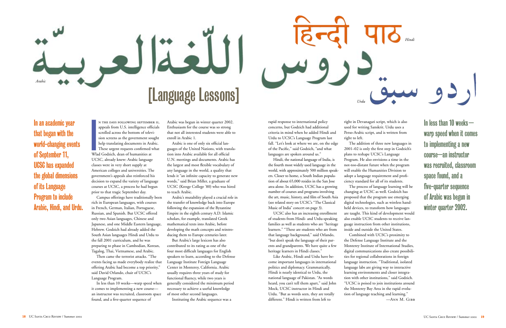n the days following september 11,

I appeals from U.S. intelligence officials scrolled across the bottom of television screens as the government sought help translating documents in Arabic. These urgent requests confirmed what Wlad Godzich, dean of humanities at UCSC, already knew: Arabic language classes were in very short supply at American colleges and universities. The government's appeals also reinforced his decision to expand the variety of language courses at UCSC, a process he had begun prior to that tragic September day.

Campus offerings have traditionally been rich in European languages, with courses in French, German, Italian, Portuguese, Russian, and Spanish. But UCSC offered only two Asian languages, Chinese and Japanese, and one Middle Eastern language, Hebrew. Godzich had already added the South Asian languages Hindi and Urdu to the fall 2001 curriculum, and he was preparing to phase in Cambodian, Korean, Tagalog, Thai, Vietnamese, and Arabic.

Then came the terrorist attacks. "The events facing us made everybody realize that offering Arabic had become a top priority," said David Orlando, chair of UCSC's Language Program.

In less than 10 weeks—warp speed when it comes to implementing a new course an instructor was recruited, classroom space found, and a five-quarter sequence of

Arabic was begun in winter quarter 2002. Enthusiasm for the course was so strong that not all interested students were able to enroll in Arabic 1.

Arabic is one of only six official languages of the United Nations, with translation into Arabic available for all official U.N. meetings and documents. Arabic has the largest and most flexible vocabulary of any language in the world, a quality that lends it "an infinite capacity to generate new words," said Brian Miller, a graduate of UCSC (Kresge College '80) who was hired to teach Arabic.

Arabic's mutability played a crucial role in the transfer of knowledge back into Europe following the expansion of the Byzantine Empire in the eighth century A.D. Islamic scholars, for example, translated Greek mathematical texts into Arabic, before developing the math concepts and reintroducing them to Europe centuries later.

But Arabic's large lexicon has also contributed to its rating as one of the four most difficult languages for English speakers to learn, according to the Defense Language Institute Foreign Language Center in Monterey, California. Arabic usually requires three years of study for functional fluency, while two years is generally considered the minimum period necessary to achieve a useful knowledge of most other second languages.

Instituting the Arabic sequence was a

rapid response to international policy concerns, but Godzich had additional criteria in mind when he added Hindi and Urdu to UCSC's Language Program last fall. "Let's look at where we are, on the edge of the Pacific," said Godzich, "and what languages are spoken around us."

Hindi, the national language of India, is the fourth most widely used language in the world, with approximately 500 million speakers. Closer to home, a South Indian population of about 65,000 resides in the San Jose area alone. In addition, UCSC has a growing number of courses and programs involving the art, music, history, and film of South Asia (see related story on UCSC's "The Classical Music of India" concert on page 3).

UCSC also has an increasing enrollment of students from Hindi- and Urdu-speaking families as well as students who are "heritage learners." "These are students who are from that language background," said Orlando, "but don't speak the language of their parents and grandparents. We have quite a few heritage learners in Hindi classes."

Like Arabic, Hindi and Urdu have become important languages in international politics and diplomacy. Grammatically, Hindi is nearly identical to Urdu, the national language of Pakistan. "As words heard, you can't tell them apart," said John Mock, UCSC instructor in Hindi and Urdu. "But as words seen, they are totally different." Hindi is written from left to

right in Devanagari script, which is also used for writing Sanskrit. Urdu uses a Perso-Arabic script, and is written from

right to left.

The addition of three new languages in 2001–02 is only the first step in Godzich's <sup>p</sup>lans to reshape UCSC's Language Program. He also envisions a time in the not-too-distant future when the program will enable the Humanities Division to adopt a language requirement and proficiency standard for all of its students. The process of language learning will be changing at UCSC as well. Godzich has proposed that the program use emerging digital technologies, such as wireless handheld devices, to transform how languages are taught. This kind of development would also enable UCSC students to receive language instruction from other institutions, inside and outside the United States. Combined with UCSC's proximity to the Defense Language Institute and the Monterey Institute of International Studies, digital communications also create possibilities for regional collaborations in foreign language instruction. "Traditional, isolated language labs are giving way to interactive learning environments and closer integration with other institutions," said Godzich. "UCSC is poised to join institutions around the Monterey Bay Area in the rapid evolution of language teaching and learning." —Ann M. Gibb

In an academic year that began with the world-changing events of September 11, UCSC has expanded the global dimensions of its Language Program to include Arabic, Hindi, and Urdu. In less than 10 weeks warp speed when it comes to implementing a new course—an instructor was recruited, classroom space found, and a five-quarter sequence of Arabic was begun in winter quarter 2002.

*Arabic* [Language Lessons] *Urdu*



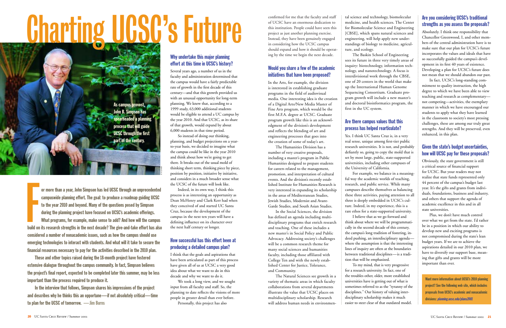confirmed for me that the faculty and staff of UCSC have an enormous dedication to this institution. People could have seen this project as just another planning exercise. Instead, they have been genuinely engaged in considering how the UCSC campus should expand and how it should be operating by the time we begin the next decade.

#### Would you share a few of the academic initiatives that have been proposed?

In the Arts, for example, the division is interested in establishing graduate programs in the field of audiovisual media. One interesting idea is the creation of a Digital Arts/New Media Master of Fine Arts program, which would be the first M.F.A. degree at UCSC. Graduate program growth like this is an acknowledgment of the division's development and reflects the blending of art and engineering processes that goes into the creation of some of today's art.

The Humanities Division has a number of very creative proposals, including a master's program in Public Humanities designed to prepare students for careers related to the management, promotion, and interpretation of cultural events. And the division's recently established Institute for Humanities Research is very interested in expanding its scholarship in the areas of Mediterranean Studies, Jewish Studies, Modernist and Avant-Garde Studies, and South Asian Studies.

In the Social Sciences, the division has defined an agenda including multidisciplinary programs that enrich research and teaching. One of these includes a new master's in Social Policy and Public Advocacy. Addressing society's challenges will be a common research theme for many social sciences and humanities faculty, including those affiliated with College Ten and with the newly established Center for Justice, Tolerance, and Community.

The Natural Sciences see growth in a variety of thematic areas in which faculty collaborations from several departments illustrate the value that UCSC places on multidisciplinary scholarship. Research will address human needs in environmen-

tal science and technology, biomolecular medicine, and health sciences. The Center for Biomolecular Science and Engineering [CBSE], which spans natural sciences and engineering, will help apply new under standings of biology to medicine, agricul ture, and ecology.

The Baskin School of Engineering sees its future in three very timely areas of inquiry: biotechnology, information tech nology, and nanotechnology. A focus is interdivisional work through the CBSE, one of 20 centers in the world that make up the International Human Genome Sequencing Consortium. Graduate program growth will include a new master's and doctoral bioinformatics program, the first in the UC system.

#### Are there campus values that this process has helped rearticulate?

Yes. I think UC Santa Cruz is, in a very real sense, unique among first-tier public research universities. It is not, and probably defiantly so, going to copy the mold that is set by most large, public, state-supported universities, including other campuses of the University of California.

For example, we balance in a meaning-I believe that as we go forward and

ful way the academic worlds of teaching, research, and public service. While many campuses describe themselves as balancing these three activities, paying attention to all three is deeply embedded in UCSC's culture. Indeed, in my experience, this is a rare ethos for a state-supported university. think about where we will be programmatically in the second decade of this century, the campus's long tradition of fostering, indeed pushing, an interdisciplinary agenda where the assumption is that the interesting lines of inquiry are often at the boundaries between traditional disciplines—is a tradition that will be emphasized.

To my mind, that is very progressive for a research university. In fact, one of the troubles other, older, more established universities have is getting out of what is sometimes referred to as the "tyranny of the disciplines." Our history of valuing interdisciplinary scholarship makes it much easier to steer clear of that outdated model.

#### Are you considering UCSC's traditional strengths as you assess the proposals?

Absolutely. I think one responsibility that Chancellor Greenwood, I, and other members of the central administration have is to make sure that our plan for UCSC's future incorporates the values and ideals that have so successfully guided the campus's development in its first 40 years of existence. Developing a plan for UCSC's future does not mean that we should abandon our past.

In fact, UCSC's long-standing commitment to quality instruction, the high degree to which we have been able to view teaching and research as complementary not competing—activities, the exemplary manner in which we have encouraged our students to apply what they have learned in the classroom to society's most pressing challenges, these are among our truly great strengths. And they will be preserved, even enhanced, in this plan.

#### Given the state's budget uncertainties, how will UCSC pay for these proposals?

Obviously, the state government is still a critical source of financial support for UCSC. But your readers may not realize that state funds represented only 44 percent of the campus's budget last year. It's the gifts and grants from individuals, foundations, business and industry, and others that support the agenda of academic excellence in this and in all state universities.

Plus, we don't have much control over what we get from the state. I'd rather be in a position in which our ability to develop new and exciting programs is not compromised during the state's lean budget years. If we are to achieve the aspirations detailed in our 2010 plan, we have to diversify our support base, meaning that gifts and grants will be more important than ever.

Want more information about UCSC's 2010 planning project? See the following web site, which includes proposals from UCSC's academic and nonacademic divisions: planning.ucsc.edu/plans2001

# Charting UCSC's Future

As campus provost, John B. Simpson has spearheaded a planning process that will guide UCSC through the first part of the century.

or more than a year, John Simpson has led UCSC through an unprecedented campuswide planning effort. The goal: to produce a roadmap guiding UCSC to the year 2010 and beyond. Many of the questions posed by Simpson during the planning project have focused on UCSC's academic offerings. What programs, for example, make sense to add? And how will the campus build on its research strengths in the next decade? The give-and-take effort has also considered a number of nonacademic issues, such as how the campus should use emerging technologies to interact with students. And what will it take to secure the financial resources necessary to pay for the activities described in the 2010 plan. F

These and other topics raised during the 18-month project have fostered extensive dialogue throughout the campus community. In fact, Simpson believes the project's final report, expected to be completed later this summer, may be less important than the process required to produce it.

In the interview that follows, Simpson shares his impressions of the project and describes why he thinks this an opportune—if not absolutely critical—time to plan for the UCSC of tomorrow. —Jim Burns

Why undertake this major planning effort at this time in UCSC's history?

Several years ago, a number of us in the faculty and administration determined that the campus would have a fairly predictable rate of growth in the first decade of this century—and that this growth provided us with an unusual opportunity for long-term <sup>p</sup>lanning. We knew that, according to a 1999 study, 63,000 additional students would be eligible to attend a UC campus by the year 2010. And that UCSC, as its share of that growth, would expand by about 6,000 students in that time period.

So instead of doing our thinking, planning, and budget projections on a yearto-year basis, we decided to imagine what the campus could be like in the year 2010 and think about how we're going to get there. It breaks out of the usual mold of thinking short term, thinking piece by piece, position by position, initiative by initiative, and considers in a much broader sense what the UCSC of the future will look like.

Indeed, in its own way, I think this process is as interesting an opportunity as Dean McHenry and Clark Kerr had when they conceived of and started UC Santa Cruz, because the development of the campus in the next ten years will have a defining influence on its character over the next half century or longer.

#### How successful has this effort been at producing a detailed campus plan?

I think that the goals and aspirations that have been articulated as part of this process have given all of us at UCSC a very good idea about what we want to do in this decade and why we want to do it.

We took a long view, and we sought input from all faculty and staff. So, the <sup>p</sup>lanning to date reflects the visions of more people in greater detail than ever before.

Personally, this project has also

r. r. jones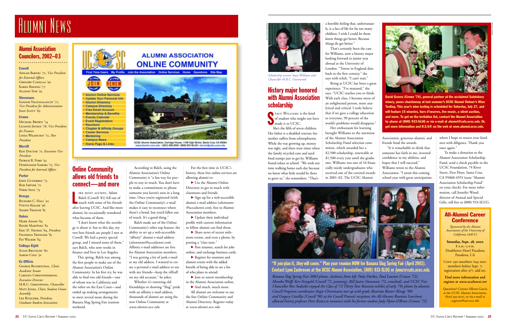#### History major honored with Alumni Association scholarship

TACY WILLIAMS is the kind<br>of student who might not have<br>made it to UCSC.

David Graves (Crown '74), general partner at the acclaimed Saintsbury winery, pours chardonnay at last summer's UCSC Alumni Vintner's Wine Tasting. This year's wine tasting is scheduled for Saturday, July 27, and will feature 15 wineries, hors d'oeuvres, live music, a silent auction, and more. To get on the invitation list, contact the Alumni Association by phone at (800) 933-SLUG or via e-mail at alumni@cats.ucsc.edu. Or, get more information and R.S.V.P. on the web at *www.alumni.ucsc.edu.* 

She's the fifth of seven children. Her father is a disabled veteran; her mother suffers from schizophrenia. While she was growing up, money was tight, and there were times when the family recycled cans and used food stamps just to get by. Williams found solace at school. "We took our time walking home each day because we knew what little would be there to greet us," she remembers. "That's



Being at UCSC has been a great experience. "I've matured," she says. "UCSC teaches you to think. With each class, I become more of an enlightened person, more analytical and critical. I truly believe that if we gave a college education to everyone, 90 percent of the world's problems would disappear."

a horrible feeling that, unfortunately, is a fact of life for far too many children. I wish I could let them know things get better. Because things do get better."

That's certainly been the case for Williams, now a history major looking forward to junior year abroad at the University of London. "Towns in England date back to the first century," she says with relish. "I can't wait."

#### All-Alumni Career **Conference**



*Scholarship winner Stacy Williams and Chancellor M.R.C. Greenwood* 

Cost: \$30 members /\$45 nonmembers before Sept. <sup>7</sup>; registration after 9/7, add \$15.

Her enthusiasm for learning brought Williams to the attention of the Alumni Association Scholarship Fund selection committee, which awarded her a \$2,500 scholarship, renewable at \$1,500 every year until she graduates. Williams was one of 16 financially needy undergraduates who received one of the coveted awards in 2001–02. The UCSC Alumni

Sandor Nagyszalanczy '77, *Vice President for Administration* JOAN SCOTT '69

#### **Crown**

MICHAEL BROWN '74 Lizanne Jensen '78, *Vice President for Finance* Linda Wilshusen '72, *Past President*

Association, generous alumni, and friends fund the awards.

Mark Adams '84 Renée Martínez '83 Eric D. Thomas '84, *President* Filomena Trindade '85 PAT WALKER '84

#### College Eight Susan Brutschy '80

"It is remarkable to think that someone has faith in me, invested confidence in my abilities, and hopes that I will succeed." Williams wrote to the Alumni Association. "I await this coming school year with great anticipation,

where I hope to return your kindness with diligence. Thank you once again."

IKE MOST ALUMNI, Adam<br>Balch (Cowell '81) fell out of<br>touch with some of his friends Balch (Cowell '81) fell out of after leaving UCSC. And like most alumni, he occasionally wondered what became of them.

To make a donation to the Alumni Association Scholarship Fund, send a check payable to the UCSC Foundation, 74 River Street, First Floor, Santa Cruz, CA 95060-4593 (note "Alumni Association Scholarship Fund" on your check). For more information, call Jennifer Wood, director of Annual and Special Gifts, toll free at (800) 933-SLUG.

> *Sponsored by the Alumni Associations of the University of California (AAUC)*

**Saturday, Sept. 28, 2002** 8 a.m.–3 p.m. Doubletree Hotel Pasadena Pasadena, CA

**Find more information and register at** *www.ucalumni.net*

Questions? Contact Allison Garcia at the UCSC Alumni Association, (800) 933-slug, or via e-mail at *acgarcia@cats.ucsc.edu*

 $\blacktriangleright$  Use the Alumni Online Directory to get in touch with classmates and friends.

 $\triangleright$  Sign up for a web-accessible alumni e-mail address (*alumname @ucscalumni.com*), free to Alumni Association members.

 $\blacktriangleright$  Update their individual profile with current information so fellow alumni can find them.

 $\blacktriangleright$  Share news of recent milestone events, and even a photo, by posting a "class note."

▶ Post resumes, search for jobs online, and exchange business cards.

> *Banana Slug Spring Fair 2002 photos, clockwise from left: Patty Durkee, Paul Lawton (Crown '72), Monika Wolff, Ken Feingold (Cowell '71, pointing), Bill Justin (Stevenson '72, crouched), and UCSC Vice Chancellor Ron Suduiko enjoyed the Class of '72 Thirty-Year Reunion exhibit of early '70s photos by alumni; Cowell Programs coordinator Angie Christmann met up with grads Alvaretta Baxter (Kresge '90) and Gregory Canillas (Cowell '90) at the Cowell Provost's reception; the All-Alumni Reunion Luncheon allowed history professor Peter Kenez to reconnect with his former student Judy Flynn-O'Brien (Crown '72).*

 $\blacktriangleright$  Join or renew membership in the Alumni Association online.

And much, much more. All alumni are welcome to use the free Online Community and Alumni Directory. Register today at *www.alumni.ucsc.edu.*



"If you plan it, they will come." Plan your reunion NOW for Banana Slug Spring Fair (April 2003). Contact Lynn Zachreson at the UCSC Alumni Association, (800) 933-SLUG or *Ivnnz@cats.ucsc.edu* 

#### Alumni Association Councilors, 2002–03

. . . . . . . . . . . . . . . . . . . . . . . . . .

#### Cowell

Adilah Barnes '72, *Vice President for External Affairs* Gregory Canillas '90 KAREN RHODES '77 Allison Tom '93

#### **Stevenson**

#### Merrill

Ken Doctor '71, *Executive Vice President*  PATRICK R. FORD '93 Dominador Siababa '75, *Vice President for Internal Affairs*

#### Porter

JOHN GUTIERREZ '73 ROB SAWYER '72 NIKKI SILVA '73

#### Kresge

RICHARD C. HALL '92 YVETTE KELLER '96 SHARIF TRAYLOR '85

#### **Oakes**

Aaron Cole '91

#### Ex Officio

George Blumenthal, *Chair, Academic Senate* Carolyn Christopherson, *Executive Director* M.R.C. Greenwood, *Chancellor* Matt Jones, *Chair, Student Union Assembly* Lee Ritscher, *President, Graduate Student Association*

#### **ALUMNI ASSOCIATION ONLINE COMMUNITY**

First Time Users My Profile Join the Association Online Services Home Questions Site Map



**Alumni Online Services Update Your Personal Info Alumni Directory Campus Directory Free Email Account Membership & Benefits Events Calendar Event Registration** Reunions **Chapter & Affinity Groups Career Services** Mentoring **Campus News** Home Page & Links



UCSC Alemni Association, Carriage House, 1156 High Street, Santa Cruz, CA 95064<br>www.alumni.ucsc.edu = (831) 458-2530 - (800) 933-SLUG - alumni@cats.ecsc.edu

#### Online Community allows old friends to connect—and more

"I don't know what the sociology is about it, but to this day, my two best friends are people I met at Cowell. We had a pretty special group, and I missed some of them," says Balch, who now works in finance and lives in Los Angeles.

This spring, Balch was among the first people to make use of the Alumni Association's Online Community. In his first try, he was able to find two old friends—one of whom was in California and the other on the East Coast—and ended up making arrangements to meet several more during the Banana Slug Spring Fair reunion weekend.

According to Balch, using the Alumni Association's Online Community is "a fun way for people to stay in touch. You don't have to make a commitment to phone someone you haven't seen in a long time. Once you're registered (with the Online Community), e-mail makes it easy to reconnect where there's a bond, but you'd fallen out of touch. It's a good thing."

## A LUMNI NEWS A LUMNI NEWS

Balch made use of the Online Community's other top feature: the ability to set up a web-accessible "affinity" alumni e-mail address (*alumname@ucscalumni.com*). Affinity e-mail addresses are free for Alumni Association members. "I was getting a lot of junk e-mail at my old address. I wanted to create a personal e-mail address to use with my friends—keep the riffraff on my old account," he jokes.

Whether it's renewing old friendships or showing "Slug" pride with an affinity e-mail address, thousands of alumni are using the new Online Community at *www.alumni.ucsc.edu.*

For the first time in UCSC's history, these free online services are allowing alumni to:

R Register for reunions and alumni events with the added benefit of being able to see a list of who plans to attend.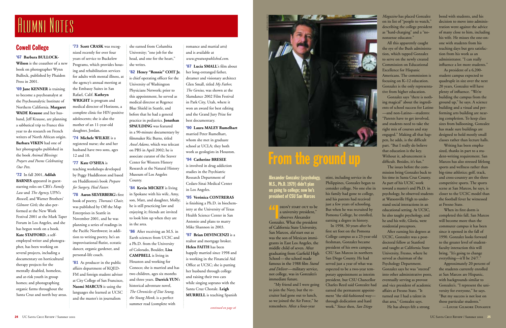Alexander Gonzalez (psychology, M.S., Ph.D. 1979) didn't plan on going to college; now he's president of CSU San Marcos

 $^{\prime\prime}$ DIDN'T START OUT to be<br>a university president,"<br>observes Alexander

Gonzalez. What the president of California State University, San Marcos, *did* start out as was the son of Mexican immigrants in East Los Angeles, the middle child of seven. After graduating from Garfield High School—the school made famous in the 1988 film *Stand and Deliver* —military service, not college, was in Gonzalez's immediate future.

"My friend and I were going to join the Navy, but the recruiter had gone out to lunch, so we joined the Air Force," he remembers. After a four-year

stint, including service in the Philippines, Gonzalez began to consider college. No one else in his family had gone to college, and his parents had received just a few years of schooling. But when he was recruited by Pomona College, he enrolled, earning a degree in history.

In 1998, 30 years after he first set foot on the Pomona College campus as a 23-year-old freshman, Gonzalez became president of his own campus, CSU San Marcos in northern San Diego County. He had served just a year of what was expected to be a two-year temporary appointment as interim president, but CSU Chancellor Charles Reed said Gonzalez had earned the permanent appointment "the old-fashioned way through dedication and hard work." Since then, *San Diego*



*Magazine* has placed Gonzalez on its list of "people to watch," describing the college president as "hard-charging" and a "nononsense educator."

All this apparently caught the eye of the Bush administration, which tapped Gonzalez to serve on the newly created Commission on Educational Excellence for Hispanic Americans. The commission is focusing on K–12 education. Gonzalez is the only representative from higher education.

Gonzalez says "there is nothing magical" about the ingredients of school success for Latino —and non-Latino—students: "Parents have to get involved, and students need to take the right mix of courses and stay engaged." Making all that happen, he adds, is the difficult part. "But I really do believe that education is the key. Without it, advancement is difficult. Besides, it's fun."

The issues before the commission bring Gonzalez back to his time in Santa Cruz County. As part of his UCSC work toward a master's and Ph.D. in psychology, he observed students at Watsonville High to understand social interactions in an educational setting. At UCSC, he also taught psychology, and he and his wife, Gloria, were residential preceptors.

**'69 Jane KENNER** is training to become a psychoanalyst at the Psychoanalytic Institute of Northern California. **Margaret WADE Krausse** and her husband, Jeff Krausse, are planning a sabbatical trip to France this year to do research on French writers of North African origin. **Barbara VIKEN** had one of her photographs published in the book *Animal Blessings: Prayers and Poems Celebrating Our Pets*.

> After earning his degrees at UCSC, Gonzalez was a postdoctoral fellow at Stanford and taught at California State University, Fresno, where he served as chairman of the Ps ychology Department. Gonzalez says he was "steered" into other administrative posts, eventually serving as provost and vice president of academic affairs at Fresno State. "It turned out I had a talent in that area," Gonzalez says. He has always felt a strong

bond with students, and his decision to move into administration went against the advice of many close to him, including his wife. He misses the one-onone with students from his teaching days but gets satisfaction from his work as an administrator. "I can really influence a lot more students."

'81 As producer in the public affairs department of KQED-FM and foreign student adviser at City College of San Francisco, **Naomi MARCUS** is using the languages she learned at UCSC and the master's in journalism

As president of a 6,200 student campus expected to quadruple in size over the next 20 years, Gonzalez will have plenty of influence. "We're building the campus from the ground up," he says. A science building and a visual and performing arts building are nearing completion. To keep class sizes from ballooning, Gonzalez has made sure buildings are designed to hold mostly small classes rather than lecture halls.

Writing has been emphasized, thanks in part to a student-writing requirement. San Marcos has also stressed lifelong sports and wellness rather than big-time athletics; golf, track, and cross-country are the three competitive sports. The sports scene at San Marcos, he says, is closer to the UCSC model than the football fever he witnessed at Fresno State.

**'86** After receiving an M.S. in Earth sciences from UCSC and a Ph.D. from the University of Colorado, Boulder, **Lisa CAMPBELL** is living in Houston and working for Conoco; she is married and has two children, ages six months and three years. **Darrick YUN**'s historical adventure novel, *The Chronicles of Dat Seung, the Young Monk*, is a perfect summer read (complete with

When its first dorm is completed this fall, San Marcos will become more than the commuter campus it has been since it opened in the fall of 1990. Gonzalez looks forward to the greater level of studentfaculty interaction this will bring. "It's going to change everything—it'll be 24/7."

Approximately 20 percent of the students currently enrolled at San Marcos are Hispanic, with backgrounds similar to Gonzalez's. "I represent the university for everyone," he says. "But my success is not lost on those particular students."

—Louise Gilmore Donahue

#### Cowell College

'67 **Barbara BULLOCK-Wilson** is the coauthor of a new book on photographer Wynn Bullock, published by Phaidon Press in 2001.

'72 In fall 2001, **Adilah BARNES** appeared in gueststarring roles on CBS's *Family Law* and *The Agency,* UPN's *Roswell,* and Warner Brothers' *Gilmore Girls;* she also performed at the New Work Festival 2001 at the Mark Taper Forum in Los Angeles, and she has begun work on a book. **Kate STAFFORD**, a selfemploye d writer and photogra<sup>p</sup>her, has been working on several projects, including a documentary on horticultural therapy projects for the mentally disabled, homeless, and at-risk youth in group homes; and photographing organic farms throughout the Santa Cruz and north bay areas.

'73 **Scott CRASK** was recognized recently for over four years of service to Buckelew Programs, which provides housing and rehabilitation services for adults with mental illness, at the agency's annual meeting at the Embassy Suites in San Rafael, Calif. **Kathryn WRIGHT** is program and medical director of Horizons, a complete clinic for HIV-positive adolescents; she is also the mother of an 11-year-old daughter, Jordan.

'74 **Michele WILKIE** is a registered nurse; she and her husband have two sons, ages 12 and 10.

'77 **Kate O'SHEA** is teaching workshops developed by Peggy Huddleston and based on Huddleston's book *Prepare for Surgery, Heal Faster.*

'78 **Aaron SILVERBERG**'s first book of poetry, *Thoreau's Chair,* was published by Off the Map Enterprises in Seattle in November 2001, and he was <sup>p</sup>lanning a series of readings in the Pacific Northwest; in addition to writing poetry, he's an improvisational flutist, ecstatic dancer, organic gardener, and personal-life coach.

she earned from Columbia University; "one job for the head, and one for the heart," she writes.

'82 **Henry "Rennie" COIT Jr.** is chief operating officer for the University of Washington Physicians Network; prior to this appointment, he served as medical director at Regence Blue Shield in Seattle, and before that he had a general practice in pediatrics. **Jonathan SPAULDING** was featured in a 90-minute documentary by filmmaker Ric Burns, titled *Ansel Adams,* which was telecast on PBS in April 2002; he is associate curator of the Seaver Center for Western History Research at the Natural History Museum of Los Angeles County.

'84 **Kevin MICKEY** is living in Spokane with his wife, Amy, son, Matt, and daughter, Molly; he is still practicing law and enjoying it; friends are invited to look him up when they are in the area.

romance and martial arts) and is available at *www.greatunpublished.com.*

'87 **Lucia SMALL**'s film about her long-estranged father, dreamer and visionary architect Glen Small, titled *My Father, The Genius,* was shown at the Slamdance 2002 Film Festival in Park City, Utah, where it won an award for best editing and the Grand Jury Prize for best documentary.

'90 **Laura MALEY Rumelhart** married Peter Rumelhart, whom she met in graduate school at UCLA; they both work as geologists in Houston.

'94 **Catherine BRESEE** is involved in drug addiction studies in the Psychiatric Research Department of Cedars-Sinai Medical Center in Los Angeles.

'95 **Verónica CONTRERAS** is finishing a Ph.D. in biochemistry at the University of Texas Health Science Center in San Antonio and plans to marry Mike Shannon in 2003.

'97 **Brian DEVINCENZI** is a realtor and mortgage broker. **Helen FAITH** has been happily married since 1998 and is working in the Financial Aid Office at UCSC; she is putting her husband through college and raising their two cats while singing soprano with the Santa Cruz Chorale. **Leigh MURRELL** is teaching Spanish

# A LUMNI NOTES



### From the ground up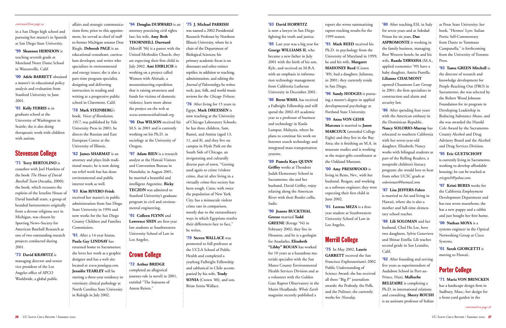#### '83 **David HORWITZ**

is now a lawyer in San Diego fighting for truth and justice.

'85 Last year was a big year for **George WILLIAMS II,** who became a new father in July 2001 with the birth of his son, Kyle, and received an M.B.A. with an emphasis in information technology management from California Lutheran University in December 2001.

'86 **Bernt WAHL** has received a Fulbright Fellowship and will spend the 2002–03 academic year as a professor of business and technology in Kuala Lumpur, Malaysia, where he plans to continue his work on Internet search technology and integrated mass transportation systems.

'89 **Pamela Kaye QUINN Griffey** works at Theodore Judah Elementary School in Sacramento; she and her husband, David Griffey, enjoy relaxing along the American River with their Border collie, Sadie.

'90 **Jeanne BUCKTHAL Greene** married **Todd GREENE** (Kresge '94) in February 2002; they live in Houston, and he is a geologist for Anadarko. **Elizabeth "Libby" ROUAN** has worked for 10 years as a hazardous materials specialist with the San Mateo County Environmental Health Services Division and as a volunteer with the Golden Gate Raptor Observatory in the Marin Headlands; *Whole Earth* magazine recently published a

report she wrote summarizing 1999 season.

**'80** After teaching ESL in Italy for seven years and at Soledad Prison for six years, **Dan ASPROMONTE** is working in the family business, managing Best Western hotels; he and his wife, **Randa TAWASHA** (M.A., applied economics '99) have a baby daughter, Amira Fiorella. **Lilianne CHAUMONT** opened Chaumont Law Group

raptor-tracking results for the '91 **Mark REED** received his Ph.D. in psychology from the University of Maryland in 1999; he and his wife, **Margaret MAHONEY Reed** (Crown '89), had a daughter, Julianna, in 2001; they currently reside in San Diego.

> **86** After spending four years with the American embassy in the Dominican Republic, **Nancy SOLORIO-Murray** has relocated to southern California with her seven-year-old daughter, Elizabeth; Nancy works with bilingual students as part of the Rolling Readers, a nonprofit children's literacy program; she would love to hear from other UCSC grads at *solorionan@hotmail.com.*

'96 **Sandy HODGES** is pursuing a master's degree in applied developmental psychology at Portland State University.

#### '99 **Anna VON GEHR**

**Marcoux** is married to **Jason MARCOUX** (attended College Eight) and they live in the Bay Area; she is finishing an M.A. in museum studies and is working as the major-gifts coordinator at the Oakland Museum.

> **92** After founding and serving five years as superintendent of Audubon School in Port-au-Prince, Haiti, **Malherbe BELIZAIRE** is completing a Ph.D. in international relations and consulting. **Sherry ROUSH** is an assistant professor of Italian

'00 **Amy PRESSWOOD** is

living in Reno, Nev., with her husband, Reagan, and working as a software engineer; they were expecting their first child in June 2002.

'01 **Lorena MEZA** is a firstyear student at Southwestern University School of Law in Los Angeles.

#### Merrill College

'75 In May 2002, **Laurie GARRETT** received the San Francisco Exploratorium's 2002 Public Understanding of Science Award; she has received all three "Big P" journalism awards: the Peabody, the Polk, and the Pulitzer; she currently works for *Newsday*.

in 2001; the firm specializes in construction and alarm and security law.

'87 **Lisa JEFFERS-Fabro** is married to Ati and living in Hawaii, where she is also a mother and full-time elementary school teacher.

'88 **Lili SOLOMAN** and her husband, Chul Ho Lee, have two daughters, Sylvie Genevieve and Shinae Estella; Lili teaches second grade in San Leandro, Calif.

'91 After a 14-year hiatus, **Paula Gay LINDSAY** has returned home to Sacramento; she loves her work as a graphic designer and has a web site located at *www.paulagay.com.* **Jennifer YEARLEY** will be starting a three-year residency in veterinary clinical pathology at North Carolina State University in Raleigh in July 2002.

at Penn State University; her book, "Hermes' Lyre: Italian Poetic Self-Commentary from Dante to Tommaso Campanella," is forthcoming from the University of Toronto Press.

'93 **Tamu GREEN Mitchell** is the director of research and knowledge development for People Reaching Out (PRO) in Sacramento; she was selected by the Robert Wood Johnson Foundation for its program in Developing Leadership in Reducing Substance Abuse, and she was awarded the Harold Cole Award by the Sacramento County Alcohol and Drug Advisory Board and the Alcohol and Drug Services Division.

#### '95 **Eric GUETSCHOFF**

is currently living in Sacramento, working to develop affordable housing; he can be reached at *ericgetch@yahoo.com.*

'97 **Kristi BERES** works for the California Employment Development Department and has run seven marathons; she has a new puppy and a rabbit and just bought her first home.

'00 **Nathan MOYA** is a systems engineer in the Optical Networking Group at Cisco Systems.

'01 **Sarah GIORGETTI** is moving to Hawaii.

'76 After living for 15 years in Egypt, **Mark DREESSEN** is now teaching at the University of Chicago Laboratory Schools; he has three children, Sam, Ramzi, and Amina (aged 13, 11, and 8), and they live on campus in Hyde Park on the South Side of Chicago, an invigorating and culturally diverse part of town. "Getting used again to crime (violent crime, that is) after living in a virtually crime-free society has been tough. Cairo, with twice the population of New York City, has a minuscule violent crime rate in comparison, mostly due to the extraordinary ways in which Egyptians resolve their differences face to face," he writes.

#### Porter College

'71 **Maria VON BRINCKEN** has a landscape design firm in Sudbury, Mass.; her design for a front-yard garden in the

*continued on page <sup>28</sup>*

in a San Diego high school and pursuing her master's in Spanish at San Diego State University.

'99 **Shannon HERNDON** is teaching seventh grade at Moreland Notre Dame School in Watsonville, Calif.

'00 **Adele BARRETT** obtained a master's in educational policy analysis and evaluation from Stanford University in June 2001.

'01 **Kelly FERRIS** is in graduate school at the University of Washington in Seattle; she is also doing therapeutic work with children with autism.

#### Stevenson College

'71 **Terry BERTOLINO** is coauthor with Joel Hawkins of the book *The House of David Baseball Team* (Arcadia, 2000); the book, which recounts the exploits of the Israelite House of David baseball team, a group of bearded barnstormers originally from a devout religious sect in Michigan, was chosen by Sporting News–Society for American Baseball Research as one of two outstanding research projects conducted during 2001.

'73 **David KRAWITZ** is managing director and senior vice president of the Los Angeles office of APCO Worldwide, a global public

affairs and strategic communications firm; prior to this appointment, he served as chief of staff to former Michigan senator Don Riegle. **Deborah PAGE** is an educational consultant, curriculum developer, and writer who specializes in environmental and energy issues; she is also a part-time program specialist, designing and delivering instruction in reading and writing at a progressive public school in Claremont, Calif.

#### '78 **Mark STEINBERG**'s

book, *Voices of Revolution, 1917,* was published by Yale University Press in 2001; he directs the Russian and East European Center at the University of Illinois.

'82 **James SHARMAT** is an attorney and plays Irish traditional music; he is now doing tax relief work but has done environmental and public interest work as well.

'83 **Kim RIVERO-Frink** received her master's in public administration from San Diego State University in 1994 and now works for the San Diego County Children and Families Commission.

'94 **Douglas DURWARD** is an attorney practicing civil rights law; his wife, **Amy Beth THORNHILL Durward** (Merrill '96) is a pastor with the United Methodist Church; they are expecting their first child in July 2002. **Ami EHRLICH** is working on a project called Women with Altitude, a mountaineering expedition that is raising awareness and funds for victims of domestic violence; learn more about the project on the web at *www.womenwithaltitude.org.*

'96 **Dan WILSON** received his M.S. in 2001 and is currently working on his Ph.D. in sociology at the University of Oregon.

'97 **Adam BIEN** is a research analyst at the Hawaii Visitors and Convention Bureau in Honolulu; in August 2001, he married a beautiful and intelligent Argentine. **Ricky TECZON** was admitted to Stanford University's graduate program in civil and environmental engineering.

'01 **Colleen FLYNN** and **Lawrence SHIN** are first-year law students at Southwestern University School of Law in Los Angeles.

#### Crown College

'72 **Arthur BRIDGE** completed an allegorical journey-tale (a novel) in 2001, entitled "The Sojourns of Anton Reisen."

#### '75 **J. Michael PARRISH**

was named a 2002 Presidential Research Professor by Northern Illinois University, where he is chair of the Department of Biological Sciences; his primary academic focus is on dinosaurs and other extinct reptiles; in addition to teaching, administration, and editing the *Journal of Paleontology,* he writes rock, jazz, folk, and world music reviews for the *Chicago Tribune.*

'79 **Steven WALLACE** was promoted to full professor at the UCLA School of Public Health and completed a yearlong Fulbright Fellowship and sabbatical in Chile accompanied by his wife, **Trudy SONIA** (Crown '80), and son, Brian Sonia-Wallace.

#### *continued from page 24*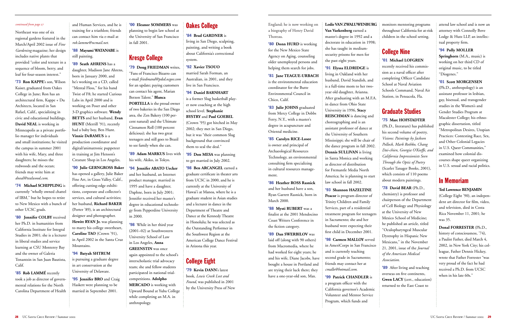England; he is now working on a biography of Henry David Thoreau.

**'80 Donn HURD** is working for the New Mexico State Agency on Aging, counseling older unemployed persons and helping them search for jobs.

'81 **Jane TEAGUE-URBACH** is the environmental education coordinator for the Butte Environmental Council in Chico, Calif.

'83 **Julie JOHNS** graduated from Mercy College in Dobbs Ferry, N.Y., with a master's degree in acupuncture and Oriental medicine.

'85 **Carolyn RICE-Losee** is owner and principal of Archaeological Resources Technology, an environmental consulting firm specializing in cultural resources management.

'86 **Heather ROSS Rasnick** and her husband have a son, Ryan Garrett Rasnick, born in March 2000.

'88 **Mysti RUBERT** was a finalist at the 2001 Mendocino Coast Writers Conference in the fiction category.

'89 **Dan SWERBILOV** was laid off (along with 90 others) from Macromedia, where he had worked for eight years; he and his wife, Diane Jacobs, have bought a house in Portland and are trying their luck there; they have a one-year-old son, Max.

#### **Leslie VAN ZWALUWENBURG**

**Van Vaekenberg** earned a master's degree in 1992 and a doctorate in education in 1998; she has taught in mediumsecurity prisons for men for the past eight years.

'91 **Elyssa ELDRIDGE** is living in Oakland with her husband, David Standish, and is a full-time mom to her twoyear old daughter, Arianna. After graduating with an M.F.A. in dance from Ohio State University in 1996, **Stacy REISCHMAN** is dancing and choreographing and is an assistant professor of dance at the University of Southern Mississippi; she will be chair of the dance program in fall 2002. **Dennis SULLIVAN** is living in Santa Monica and working as director of distribution for Fremantle Media North America; he is planning to start law school in fall 2002.

'93 **Shannon HAZELTINE Peacor** is program director of Trinity Children and Family Services, part of a residential treatment program for teenagers in Sacramento; she and her husband were expecting their first child in December 2001.

'98 **Carmen MALLOY** served in AmeriCorps in San Francisco and is currently teaching second grade in Sacramento; friends may contact her at *cmallo@hotmail.com.*

'99 **Patrick CHANDLER** is

a program officer with the California governor's Academic Volunteer and Mentor Service Program, which funds and

monitors mentoring programs throughout California for at-risk children in the school setting.

#### College Nine

#### '01 **Michael LOFGREN**

recently received his commission as a naval officer after completing Officer Candidate School at Naval Aviation Schools Command, Naval Air Station, in Pensacola, Fla.

#### Graduate Studies

#### '75 **Marc HOFSTADTER**

(Ph.D., literature) has published his second volume of poetry, *Visions: Paintings by Jackson Pollock, Mark Rothko, Chang Dai-chien, Georgia O'Keeffe, and California Impressionists Seen Through the Optic of Poetry* (Scarlet Tanager Books, 2001), which consists of 110 poems about modern paintings.

'78 **David BEAR** (Ph.D., chemistry) is professor and chairperson of the Department of Cell Biology and Physiology at the University of New Mexico School of Medicine; he published an article, titled "Oculopharyngeal Muscular Dystrophy in Hispanic New Mexicans," in the November 21, 2001, issue of the *Journal of the American Medical Association.*

'89 After living and teaching overseas on five continents, **Gwen LACY** (cert., education) returned to the East Coast to

attend law school and is now an attorney with Connolly Bove Lodge & Hutz LLP, an intellectual property firm.

#### '94 **Polly MOLLER**

**Springhorn** (M.A., music) is working on her third CD of original music, to be titled "Diogenes."

'01 **Scott MORGENSEN** (Ph.D., anthropology) is an assistant professor in lesbian, gay, bisexual, and transgender studies in the Women's and Gender Studies Program at Macalester College; his ethnographic dissertation, titled "Metropolitan Desires, Utopian Practices: Contesting Race, Sex, and Other Colonial Legacies in U.S. Queer Communities," examined how colonial discourses shape queer organizing in U.S. sexual and racial politics.

#### In Memoriam

#### **Ted Lawrence BENJAMIN**

(College Eight '90), an independent art director for film, video, and television, died in Costa Rica November 11, 2001; he was 35.

**Donal FORRESTER** (Ph.D., history of consciousness, '74), a Paulist Father, died March 4, 2002, in New York City; his colleague, Father Dennis Hickey, wrote that Father Forrester "was very proud of the fact he had received a Ph.D. from UCSC when in his late 60s."

Northeast was one of six regional gardens featured in the March/April 2002 issue of *Fine Gardening* magazine; her design includes native plants that provided "color and texture in a sequence of bloom, berry, and leaf for four-season interest."

'73 **Ron KAPPE**'s son, Wilson Kaiser, graduated from Oakes College in June; Ron has an architectural firm, Kappe + Du Architects, located in San Rafael, Calif., specializing in civic and educational buildings. **David NEAL** is working in Minneapolis as a private portfolio manager for individuals and small institutions; he visited the campus in summer 2001 with his wife, Mary, and three daughters; he misses the redwoods and the ocean; friends may write him at *dneal@tealwood.com.* 

'74 **Michael SCHIPPLING** is currently "wholly owned chattel of IBM," but he hopes to retire to New Mexico with a bunch of other UCSC grads.

'80 **Jennifer COLBY** received her Ph.D. in humanities from California Institute for Integral Studies in 2001; she is a lecturer in liberal studies and service learning at CSU Monterey Bay and the owner of Galeria Tonantzin in San Juan Bautista, Calif.

'85 **Rob LAMMÉ** recently took a job as director of governmental relations for the North Carolina Department of Health and Human Services, and he is training for a triathlon; friends can contact him via e-mail at *rob.lamme@ncmail.net.*

'88 **Mayumi WATANABE** is still painting.

'89 **Seath AHRENS** has a daughter, Madison Jane Ahrens, born in January 2000, and he's working on a CD, called "Mental Floss," for his band Twist of F8; he started Curious Labs in April 2000 and is working on Poser and other 3-D graphics software. **Wendy BETTS** and her husband, **Evan HUNT** (Merrill '91), recently had a baby boy, Ben Hunt. **Vinnie DeRAMUS** is a production coordinator and digital/animatronic puppeteer in training at Jim Henson's Creature Shop in Los Angeles.

'90 **Julie GERNGROSS Baker** has opened a gallery, Julie Baker Fine Art, in Grass Valley, Calif., offering cutting-edge exhibitions, corporate and collector's services, and cultural activities; her husband, **Richard BAKER** (Porter '89), is an architectural designer and photographer. **Hewitt RYAN Jr.** was planning to marry his college sweetheart, **Caroline TAO** (Crown '91), in April 2002 in the Santa Cruz Mountains.

'94 **Batyah SHTRUM** is pursuing a graduate degree in art conservation at the University of Delaware.

'95 **Jennifer BRO** and Craig Haskett were planning to be married in September 2001.

'00 **Eleanor SOMMERS** was <sup>p</sup>lanning to begin law school at the University of San Francisco in fall 2001.

#### Kresge College

'79 **Doug FRIEDMAN** writes, "Fans of Francisco Bizarro can e-mail *friedmand@pdsd.ocgov.com* for an update; paying customers can contact his agent, Marian Berzon Talent." **Blanca PORTELLA** is the proud owner of two bakeries in the San Diego area, the Zen Bakery (100 percent natural) and the Ultimate Cinnamon Roll (100 percent delicious); she has two great teenagers and still goes to Brazil to see family when she can.

'89 **Adam MARKUS** lives with his wife, Akiko, in Tokyo.

'94 **Jennifer ABATO Uecker** and her husband, an Internet product manager, married in 1995 and have a daughter, Daphne, born in July 2001; Jennifer received her master's degree in educational technology from Pepperdine University in 2000.

'98 While in her third year (2001–02) at Southwestern University School of Law in Los Angeles, **Anna GREENSTIN** was once again appointed to the school's interscholastic trial advocacy team; she and fellow students participated in national trialcompetitions. **Adolpho MERCADO** is working with Upward Bound at Yuba College while completing an M.A. in anthropology.

#### Oakes College

'84 **Brad GARDNER** is living in San Diego, sculpting, painting, and writing a book about California's correctional system.

'92 **Xavier TSOUO**

married Sarah Forman, an Australian, in 2001, and they live in San Francisco.

'94 **Daniel BARNHART** is a former Slug basketball player now coaching at the high school level. **Stephanie BYSTRY** and **Paul GOEBEL** (Crown '95) got hitched in May 2002; they met in San Diego, but it was "their common Slug background that convinced them to seal the deal."

'95 **Don MESA** was planning to get married in July 2002.

'98 **Ben ARCANGEL** earned a graduate certificate in theater arts from UCSC in 2000, and he is currently at the University of Hawai'i at Manoa, where he is a graduate student in Asian studies and a lecturer in dance in the Department of Theatre and Dance at the Kennedy Theatre in Honolulu; he was selected as the Outstanding Performer in the Southwest Region at the American College Dance Festival in Arizona this year.

#### College Eight

'79 **Kevin DANN**'s latest book, *Lewis Creek Lost and Found,* was published in 2001 by the University Press of New

#### *continued from page 27*